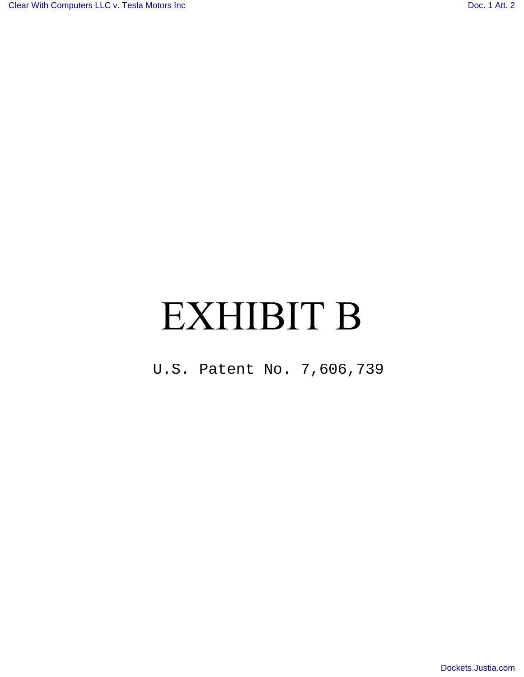# EXHIBIT B

U.S. Patent No. 7,606,739<br> $S_{\text{max}}$ <br>[Dockets.Justia.com](http://dockets.justia.com/)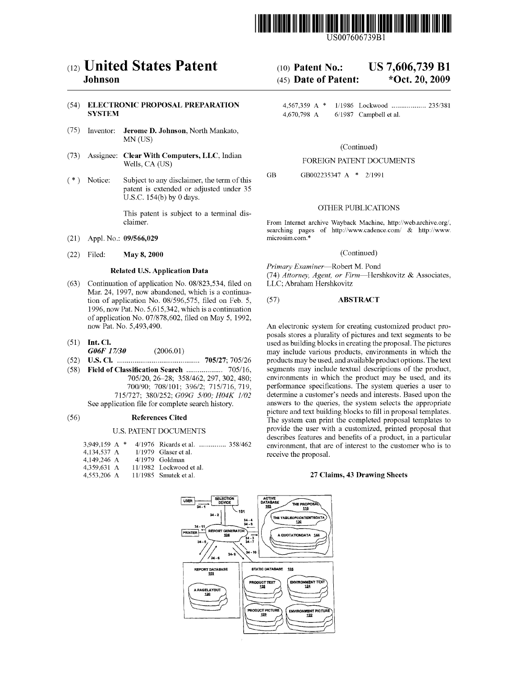

US007606739B1

## (54) ELECTRONIC PROPOSAL PREPARATION 4,567,359 A \* 1/1986 Lockwood ................ .. 235/381

- (75) Inventor: Jerome D. Johnson, North Mankato, MN (US)
- (73) Assignee: Clear With Computers, LLC, Indian FOREIGN PATENT DOCUMENTS<br>Wells, CA (US)
- (\*) Notice: Subject to any disclaimer, the term of this  $GB$ patent is extended or adjusted under 35 U.S.C. 154(b) by 0 days.

This patent is subject to a terminal dis-

- (21) Appl. No.:  $09/566,029$
- (22) Filed: May 8,2000 (Continued)

- (63) Continuation of application No. 08/823,534, filed on LLC; Abraham Hershkovitz Mar. 24, 1997, now abandoned, which is a continuation of application No.  $08/596,575$ , filed on Feb. 5,  $(57)$  **ABSTRACT** 1996, noW Pat. No. 5,615,342, Which is a continuation of application No. 07/878,602, filed on May 5, 1992, now Pat. No. 5,493,490.
- 
- 
- 
- (58) Field of Classification Search .................... 705/16,<br>705/20, 26–28; 358/462, 297, 302, 480;
	-

#### U.S. PATENT DOCUMENTS

|             |                              | 4/1976 Ricards et al.  358/46 |
|-------------|------------------------------|-------------------------------|
| 4.134.537 A |                              | $1/1979$ Glaser et al.        |
| 4.149.246 A |                              | $4/1979$ Goldman              |
| 4.359.631 A |                              | $11/1982$ Lockwood et al.     |
|             |                              | $11/1985$ Smutek et al.       |
|             | 3.949.159 A *<br>4,553,206 A |                               |

## (12) United States Patent (10) Patent No.: US 7,606,739 B1<br>Johnson (45) Date of Patent: \*Oct. 20, 2009

## **Johnson** (45) Date of Patent:

4,670,798 A 6/1987 Campbell et al.

### (Continued)

GB002235347 A \* 2/1991

### OTHER PUBLICATIONS

claimer. From Internet archive Wayback Machine, http://web.archive.org/, searching pages of http://www.cadence.com/ & http://www.microsim.com.\*

Related U.S. Application Data *Primary Examiner*—Robert M. Pond (74) Attorney, Agent, or Firm-Hershkovitz  $\&$  Associates,

An electronic system for creating customized product proposals stores a plurality of pictures and text segments to be (51) Int. Cl.  $\frac{1}{17/30}$  Close  $\frac{1}{2006.01}$  is used as building blocks in creating the proposal. The pictures of  $\frac{1}{2006}$  Close  $\frac{1}{2006}$  Close  $\frac{1}{2006}$  Close  $\frac{1}{2006}$  Close  $\frac{1}{2006}$  Close  $\frac{1}{2$  $G06F$  17/30 (2006.01) may include various products, environments in which the U.S. Cl.  $\ldots$  may include various products, environments in which the U.S. Cl.  $\ldots$  may include various may be used, and available product o (52) US. Cl. ......................................... .. 705/27; 705/ 26 products may be used, and available product options. The text 705/20, 26–28; 358/462, 297, 302, 480; environments in which the product may be used, and its 700/90; 708/101; 396/2; 715/716, 719, performance specifications. The system queries a user to 700/90; 708/101; 396/2; 715/716, 719, performance specifications. The system queries a user to 715/727; 380/252;  $G09G$  5/00;  $H04K$  1/02 determine a customer's needs and interests. Based upon the determine a customer's needs and interests. Based upon the See application file for complete search history. answers to the queries, the system selects the appropriate picture and text building blocks to fill in proposal templates.<br>
References Cited The system can print the completed proposal templates to The system can print the completed proposal templates to provide the user With a customized, printed proposal that describes features and benefits of a product, in a particular  $52$  environment, that are of interest to the customer who is to receive the proposal.

#### 27 Claims, 43 Drawing Sheets

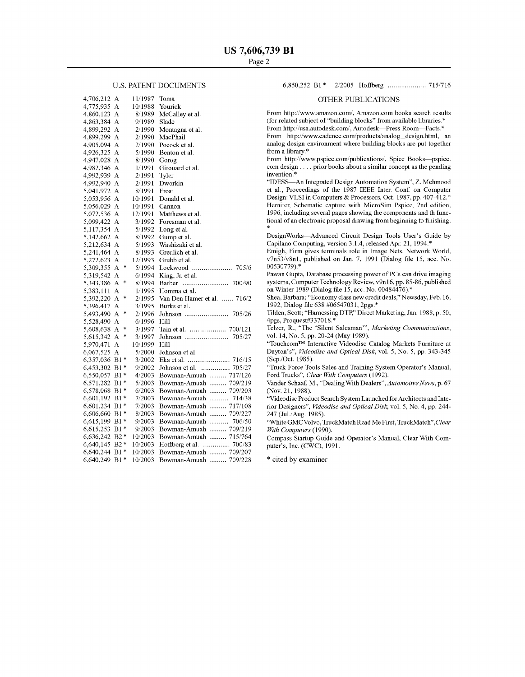#### U.S. PATENT DOCUMENTS

| 4,706,212 | А       | 11/1987 | Toma                          |
|-----------|---------|---------|-------------------------------|
| 4,775,935 | А       | 10/1988 | Yourick                       |
| 4,860,123 | А       | 8/1989  | McCalley et al.               |
| 4,863,384 | А       | 9/1989  | Slade                         |
| 4,899,292 | А       | 2/1990  | Montagna et al.               |
| 4,899,299 | А       | 2/1990  | MacPhail                      |
| 4,905,094 | А       | 2/1990  | Pocock et al.                 |
| 4,926,325 | A       | 5/1990  | Benton et al.                 |
| 4,947,028 | А       | 8/1990  | Gorog                         |
| 4,982,346 | А       | 1/1991  | Girouard et al.               |
| 4,992,939 | A       | 2/1991  | Tyler                         |
| 4,992,940 | A       | 2/1991  | Dworkin                       |
| 5,041,972 | А       | 8/1991  | Frost                         |
| 5,053,956 | А       | 10/1991 | Donald et al.                 |
| 5,056,029 | A       | 10/1991 | Cannon                        |
| 5,072,536 | А       | 12/1991 | Matthews et al.               |
| 5,099,422 | A       | 3/1992  | Foresman et al.               |
| 5,117,354 | А       | 5/1992  | Long et al.                   |
| 5,142,662 | А       | 8/1992  | Gump et al.                   |
| 5,212,634 | А       | 5/1993  | Washizaki et al.              |
| 5,241,464 | А       | 8/1993  | Greulich et al.               |
| 5,272,623 | А       | 12/1993 | Grubb et al.                  |
| 5,309,355 | *<br>А  | 5/1994  | Lockwood<br>705/6             |
| 5,319,542 | А       | 6/1994  | King, Jr. et al.              |
| 5,343,386 | *<br>А  | 8/1994  | 700/90<br>Barber              |
| 5,383,111 | A       | 1/1995  | Homma et al.                  |
| 5,392,220 | *<br>A  | 2/1995  | Van Den Hamer et al.  716/2   |
| 5,396,417 | A       | 3/1995  | Burks et al.                  |
| 5,493,490 | *<br>А  | 2/1996  | Johnson<br>705/26             |
| 5,528,490 | А       | 6/1996  | Hill                          |
| 5,608,638 | *<br>А  | 3/1997  |                               |
| 5,615,342 | *<br>А  | 3/1997  | 705/27<br>Johnson             |
| 5,970,471 | А       | 10/1999 | Hill                          |
| 6,067,525 | А       | 5/2000  | Johnson et al.                |
| 6,357,036 | B1<br>* | 3/2002  | Eka et al.<br>716/15          |
| 6,453,302 | B1 *    | 9/2002  | Johnson et al.<br>.<br>705/27 |
| 6,550,057 | B1 *    | 4/2003  | Bowman-Amuah  717/126         |
| 6,571,282 | B1 *    | 5/2003  | Bowman-Amuah  709/219         |
| 6,578,068 | B1 *    | 6/2003  | Bowman-Amuah<br>709/203       |
| 6,601,192 | B1 *    | 7/2003  | Bowman-Amuah<br>714/38        |
| 6,601,234 | B1 *    | 7/2003  | Bowman-Amuah  717/108         |
| 6,606,660 | B1 *    | 8/2003  | Bowman-Amuah  709/227         |
| 6,615,199 | B1 *    | 9/2003  | Bowman-Amuah<br>706/50        |
| 6,615,253 | B1 *    | 9/2003  | Bowman-Amuah  709/219         |
| 6,636,242 | $B2*$   | 10/2003 | Bowman-Amuah  715/764         |
| 6,640,145 | $B2*$   | 10/2003 | Hoffberg et al.  700/83       |
| 6,640,244 | B1 *    | 10/2003 | Bowman-Amuah  709/207         |
| 6,640,249 | $B1*$   | 10/2003 | Bowman-Amuah  709/228         |
|           |         |         |                               |

#### 6,850,252 B1\* 2/2005 Ho?berg .................. .. 715/716

#### OTHER PUBLICATIONS

From http://www.amazon.com/, Amazon.com books search results (for related subject of "building blocks" from available libraries.\* From http://usa.autodesk.com/, Autodesk-Press Room-Facts.\*

From http://www.cadence.com/products/analog\_design.html, an

analog design environment where building blocks are put together from a library.\*<br>From http://www.pspice.com/publications/, Spice Books—pspice.

com design  $\dots$ , prior books about a similar concept as the pending invention.\*

"IDESS-An Integrated Design Automation System", Z. Mehmood et al., Proceedings of the 1987 IEEE Inter. Conf. on Computer Design: VLSI in Computers & Processors, Oct. 1987, pp. 407-412.\* Herniter, Schematic capture with MicroSim Pspice, 2nd edition, 1996, including several pages showing the components and th func tional of an electronic proposal drawing from beginning to finishing.

DesignWorks-Advanced Circuit Design Tools User's Guide by Capilano Computing, version 3.1.4, released Apr. 21, 1994.\*

Emigh, Firm gives terminals role in Image Nets, Network World, v7n53/v8n1, published on Jan. 7, 1991 (Dialog file 15, acc. No. 00530779).\*

Pawan Gupta, Database processing power of PCs can drive imaging systems, Computer Technology Review, v9n16, pp. 85-86, published on Winter 1989 (Dialog file 15, acc. No. 00484476).\*

Shea, Barbara; "Economy class new credit deals," Newsday, Feb. 16, 1992, Dialog file 638 #06547031, 2pgs.\*

Tilden, Scott; "Harnessing DTP," Direct Marketing, Jan. 1988, p. 50; 4pgs, Proquest#337018.\*

Telzer, R., "The 'Silent Salesman'", Marketing Communications, vol. 14, No. 5, pp. 20-24 (May 1989).

"TouchcomTM Interactive Videodisc Catalog Markets Furniture at Dayton's", Videodisc and Optical Disk, vol. 5, No. 5, pp. 343-345 (Sep./Oct. 1985).

"Truck Force Tools Sales and Training System Operator's Manual, Ford Trucks", Clear With Computers (1992).

Vander Schaaf, M., "Dealing With Dealers", Automotive News, p. 67 (Nov. 21, 1988).

"Videodisc Product Search System Launched for Architects and Inte rior Designers", Videodisc and Optical Disk, vol. 5, No. 4, pp. 244-247 (Jul/Aug. 1985).

"White GMC Volvo, TruckMatch Read Me First, TruckMatch",Clear With Computers (1990).

Compass Startup Guide and Operator's Manual, Clear With Com puter's, Inc. (CWC), 1991.

\* cited by examiner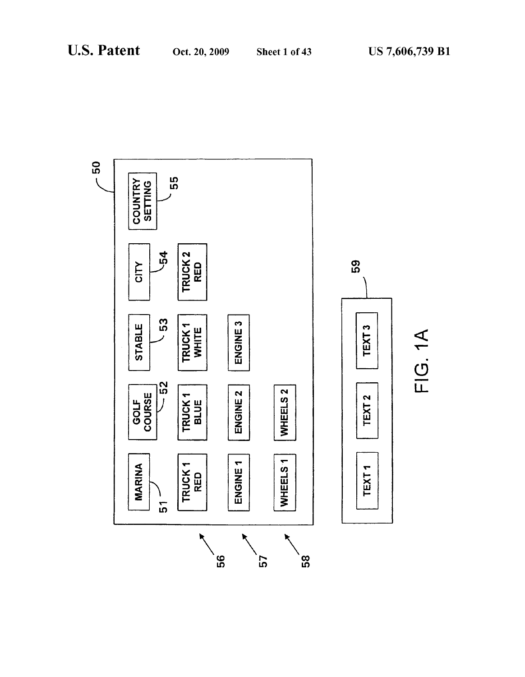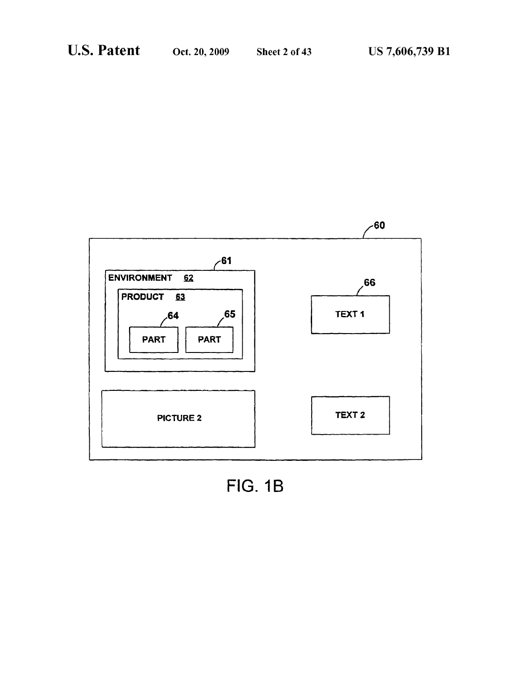

FIG. 1B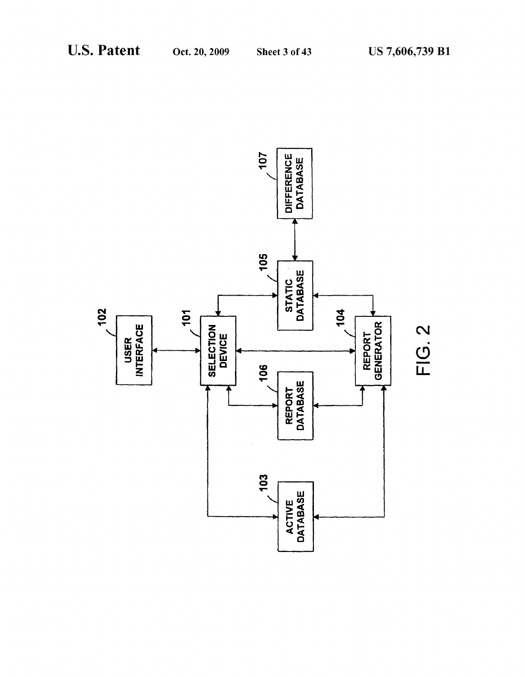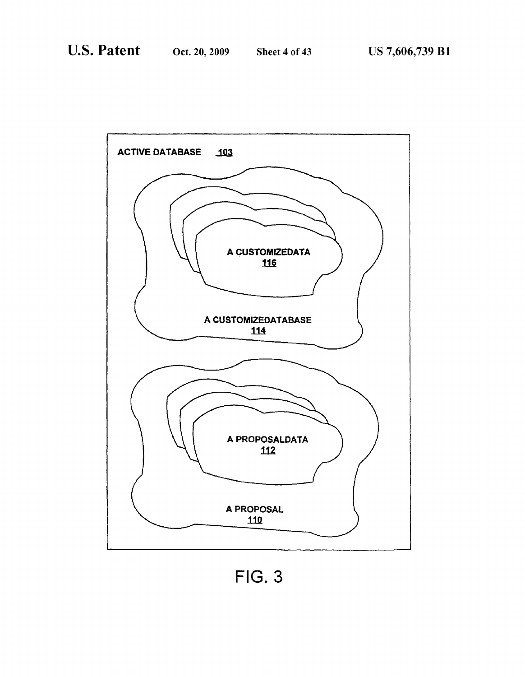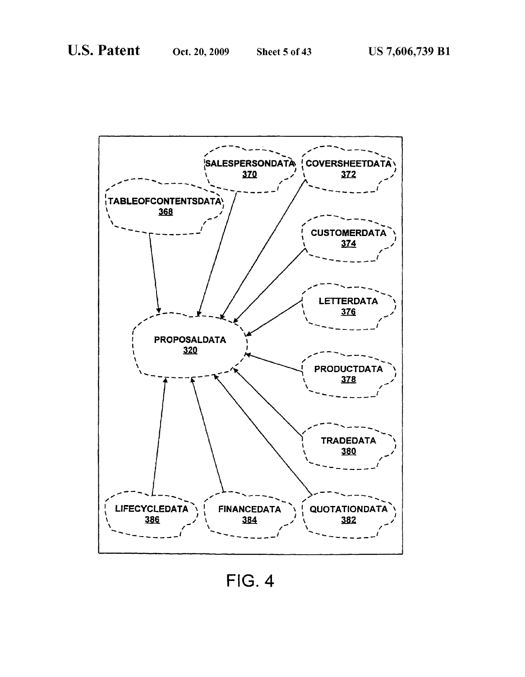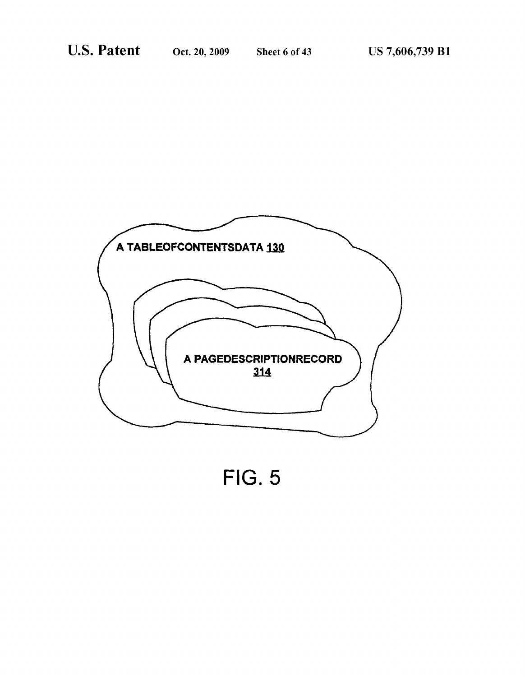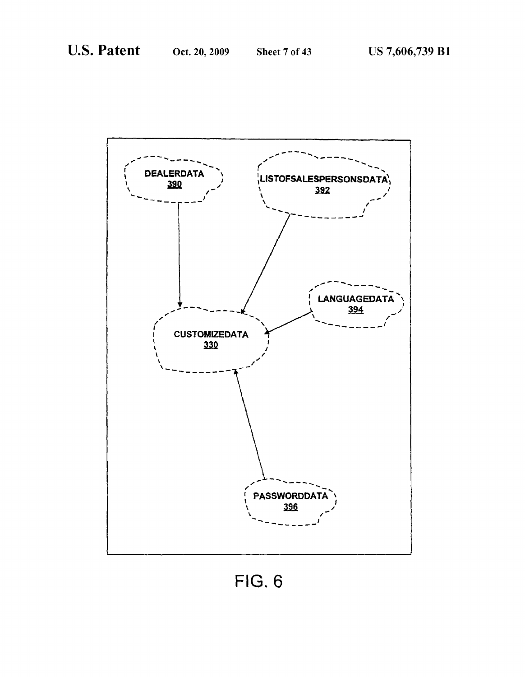

**FIG. 6**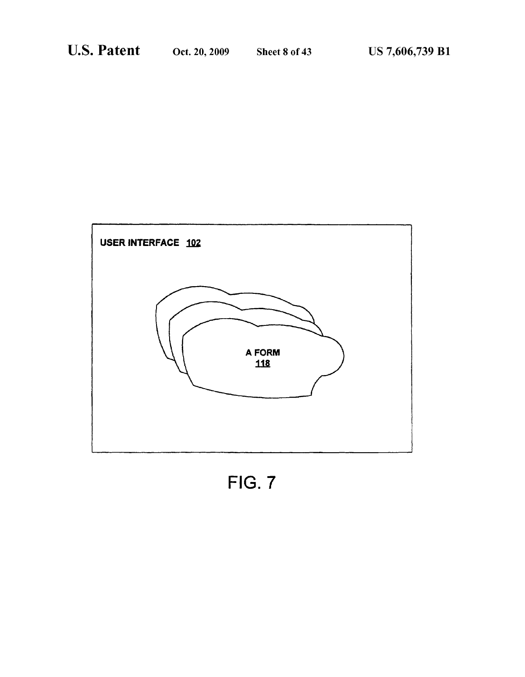

FIG. 7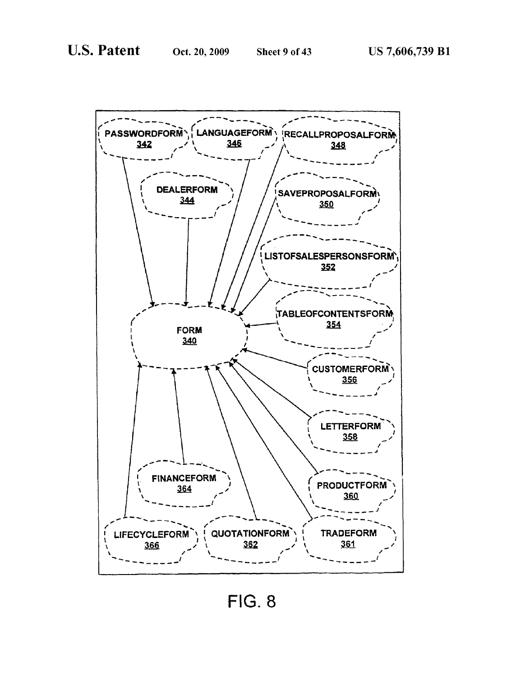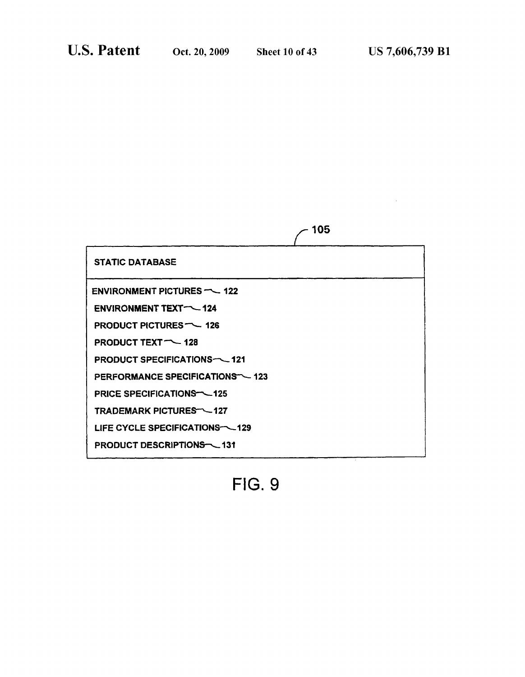| <b>STATIC DATABASE</b>                    |  |
|-------------------------------------------|--|
| ENVIRONMENT PICTURES $-$ 122              |  |
| ENVIRONMENT TEXT-124                      |  |
| <b>PRODUCT PICTURES ~~ 126</b>            |  |
| <b>PRODUCT TEXT <math>\sim</math> 128</b> |  |
| <b>PRODUCT SPECIFICATIONS-\times-121</b>  |  |
| PERFORMANCE SPECIFICATIONS ~~ 123         |  |
| <b>PRICE SPECIFICATIONS-125</b>           |  |
| <b>TRADEMARK PICTURES - 127</b>           |  |
| LIFE CYCLE SPECIFICATIONS-\129            |  |
| PRODUCT DESCRIPTIONS 131                  |  |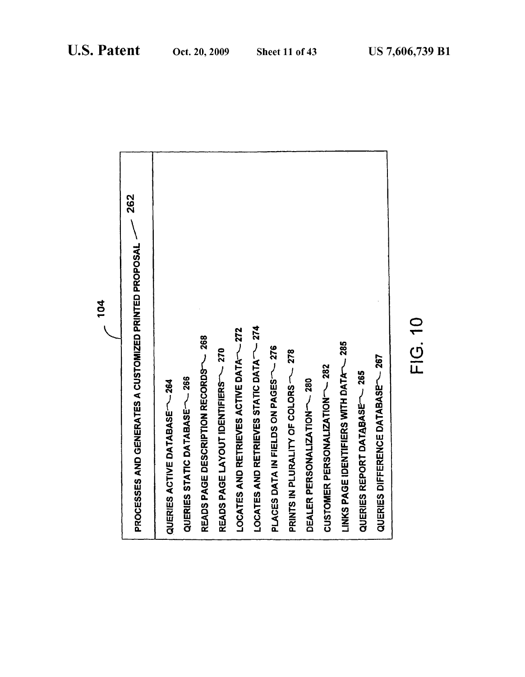| <b>262</b><br>PROCESSES AND GENERATES A CUSTOMIZED PRINTED PROPOSAL ~ |  |
|-----------------------------------------------------------------------|--|
| QUERIES ACTIVE DATABASE ~~ 264                                        |  |
| QUERIES STATIC DATABASE <sup>--</sup> 266                             |  |
| READS PAGE DESCRIPTION RECORDS- 268                                   |  |
| READS PAGE LAYOUT IDENTIFIERS~~~~~                                    |  |
| LOCATES AND RETRIEVES ACTIVE DATA ~~ 272                              |  |
| LOCATES AND RETRIEVES STATIC DATA <sup>-</sup> 274                    |  |
| <b>PLATA IN EIGES ON PATAING</b>                                      |  |
| 278<br>PRINTS IN PLURALITY OF COLORS                                  |  |
| DEALER PERSONALIZATION-280                                            |  |
| CUSTOMER PERSONALIZATION-282                                          |  |
| LINKS PAGE IDENTIFIERS WITH DATA - 285                                |  |
| QUERIES REPORT DATABASE- 265                                          |  |
| QUERIES DIFFERENCE DATABASE ~~ 267                                    |  |
|                                                                       |  |

 $-104$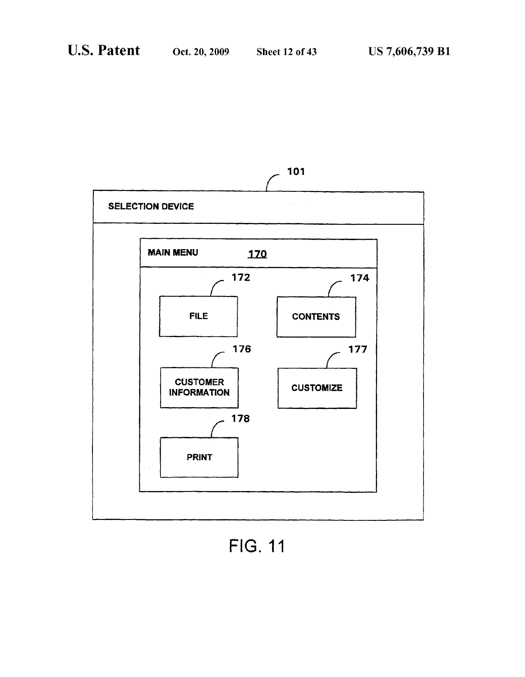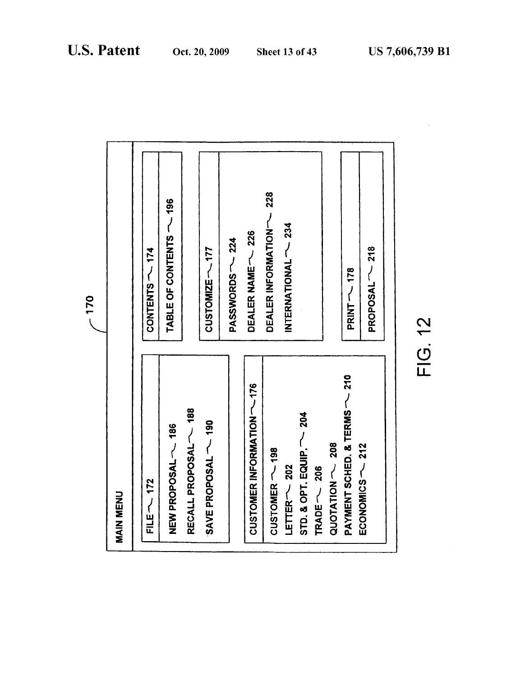| <b>PAYMENT SCHED. &amp; TERMS - 210</b><br>CUSTOMER INFORMER 176<br>RECALL PROPOSAL ~~ 188<br>$STD.$ & $OPT.$ EQUIP. $\sim$ 204<br>SAVE PROPOSAL ~~~<br>NEW PROPOSAL ~~ 186 |
|-----------------------------------------------------------------------------------------------------------------------------------------------------------------------------|
|-----------------------------------------------------------------------------------------------------------------------------------------------------------------------------|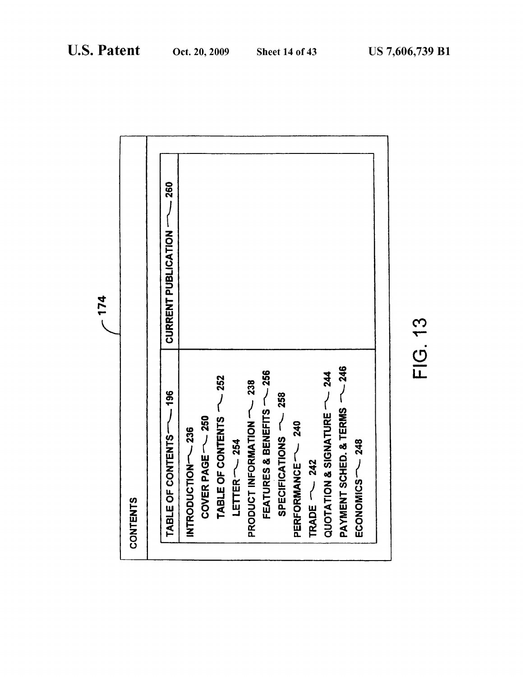|                               | $-174$                               |
|-------------------------------|--------------------------------------|
| <b>CONTENTS</b>               |                                      |
|                               |                                      |
| $-196$<br>TABLE OF CONTENTS-  | $-260$<br><b>CURRENT PUBLICATION</b> |
| INTRODUCTION-236              |                                      |
| COVER PAGE - 250              |                                      |
| TABLE OF CONTENTS ~~ 252      |                                      |
| LETTER $\sim$ 254             |                                      |
| PRODUCT INFORMATION ~~ 238    |                                      |
| FEATURES & BENEFITS ~~ 256    |                                      |
| SPECIEICATIONS 758            |                                      |
| PERFORMANCE - 240             |                                      |
| TRADE $\sim$ 242              |                                      |
| QUOTATION & SIGNATURE - 244   |                                      |
| PAYMENT SCHED. & TERMS ~~ 246 |                                      |
| ECONOMICS -- 248              |                                      |
|                               |                                      |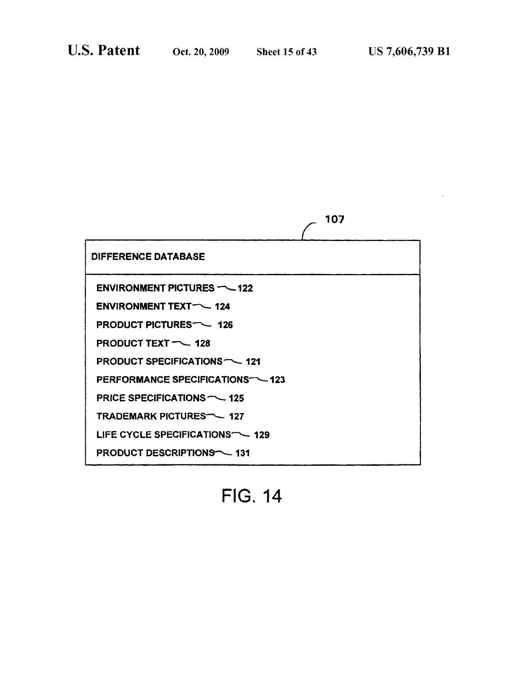$\bar{z}$ 

|                                            | 107 |
|--------------------------------------------|-----|
| <b>DIFFERENCE DATABASE</b>                 |     |
| ENVIRONMENT PICTURES $-$ 122               |     |
| <b>ENVIRONMENT TEXT-424</b>                |     |
| PRODUCT PICTURES <sup>-</sup> 126          |     |
| <b>PRODUCT TEXT - 128</b>                  |     |
| <b>PRODUCT SPECIFICATIONS - 121</b>        |     |
| PERFORMANCE SPECIFICATIONS - 123           |     |
| PRICE SPECIFICATIONS $\nightharpoonup$ 125 |     |
| <b>TRADEMARK PICTURES-427</b>              |     |
| LIFE CYCLE SPECIFICATIONS <sup>-</sup> 129 |     |
| <b>PRODUCT DESCRIPTIONS-431</b>            |     |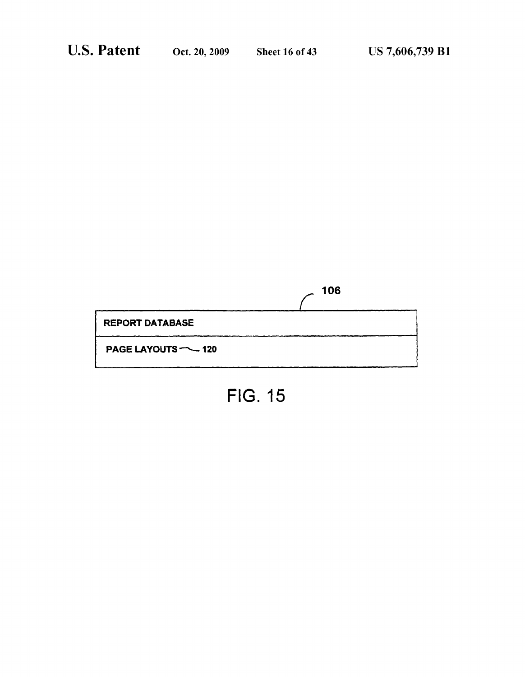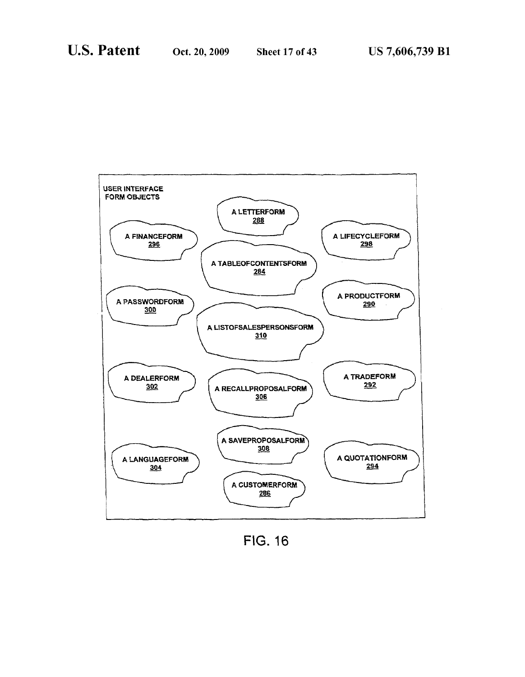

FIG. 16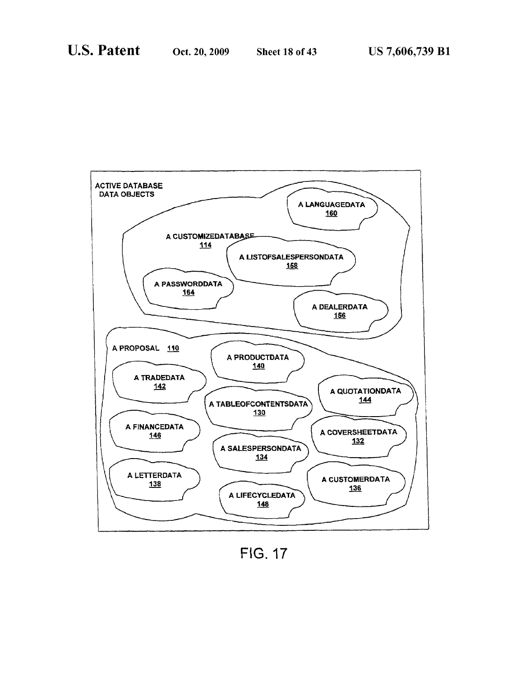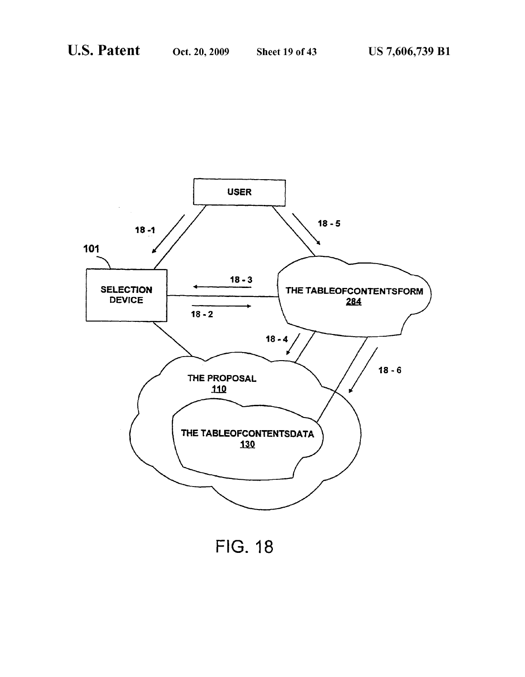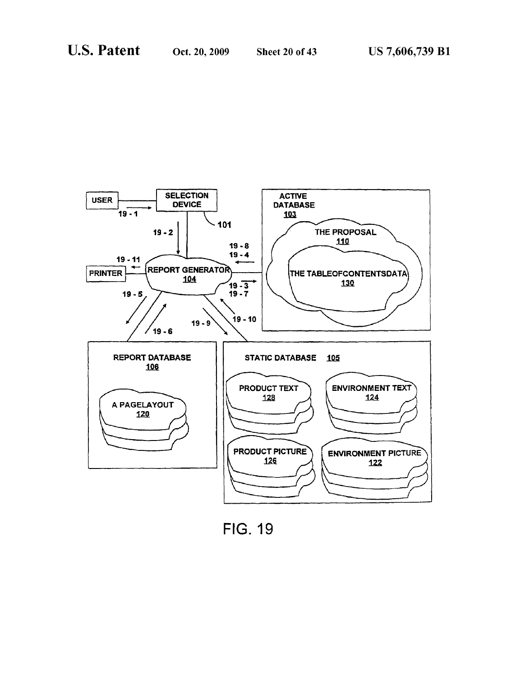

**FIG. 19**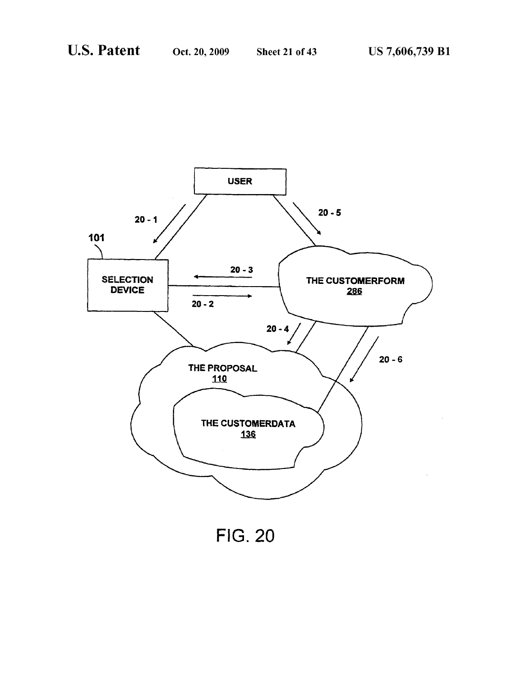

**FIG. 20**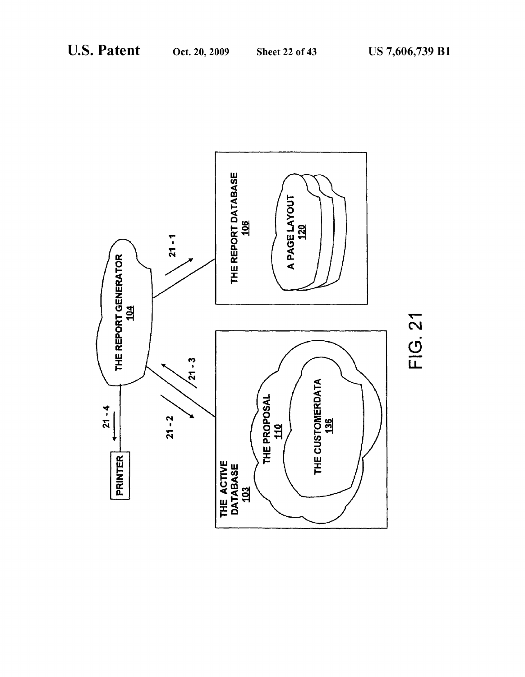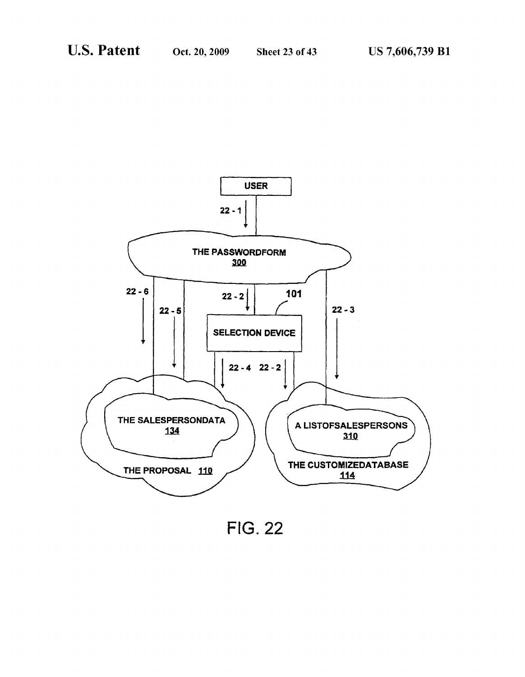

**FIG. 22**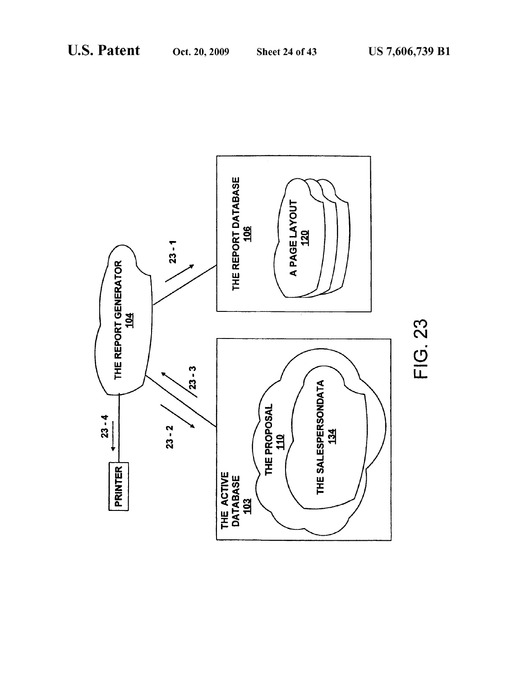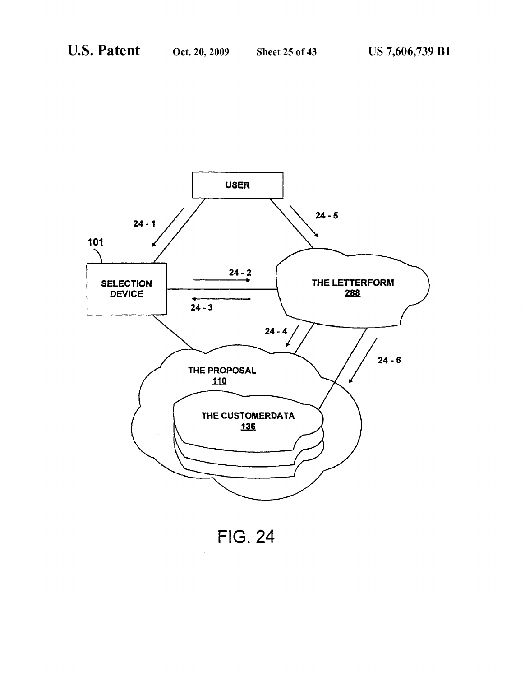

**FIG. 24**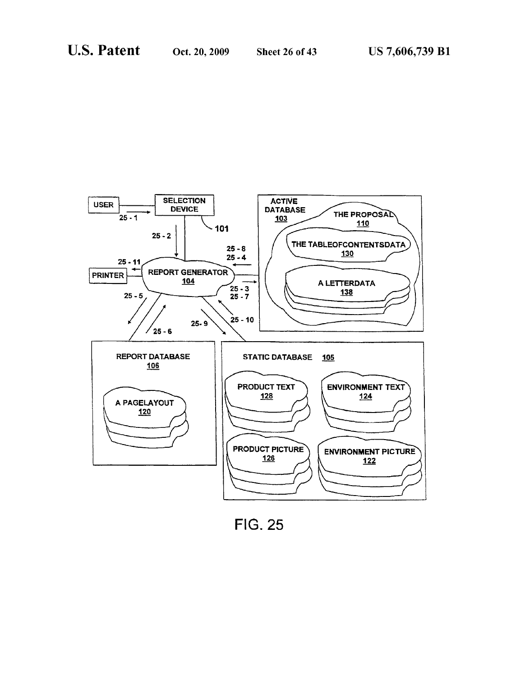

**FIG. 25**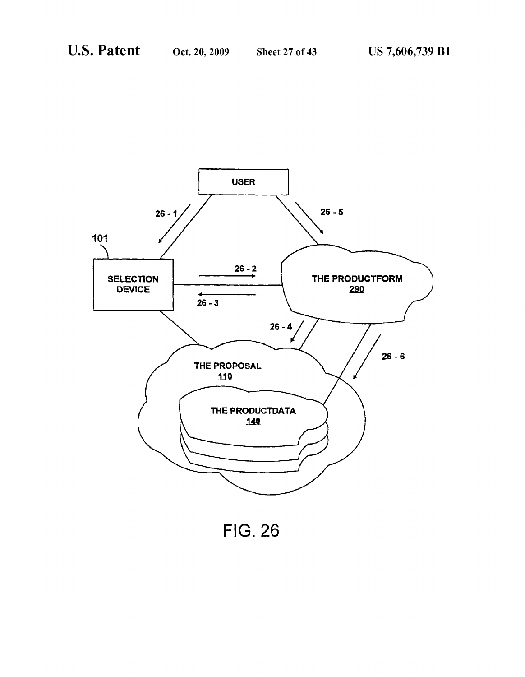

**FIG. 26**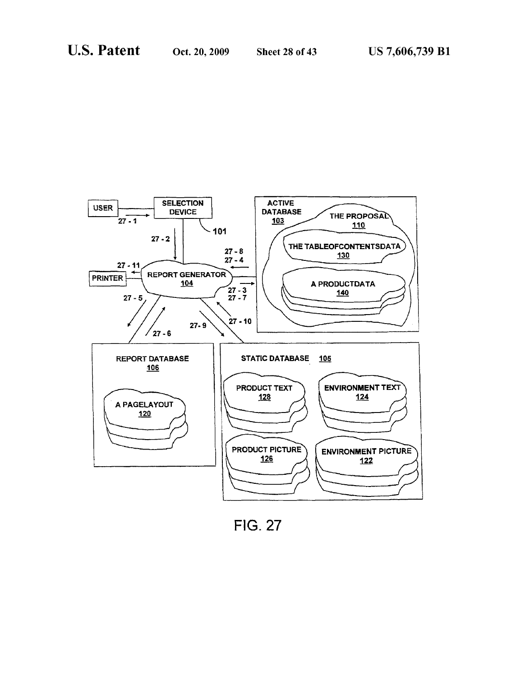

**FIG. 27**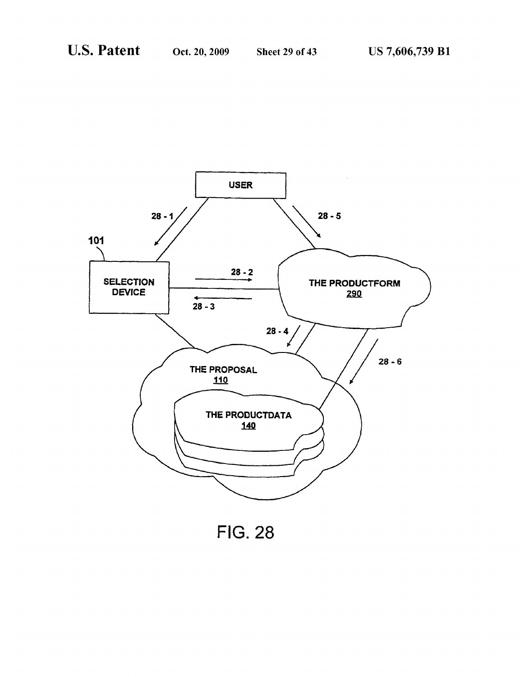

**FIG. 28**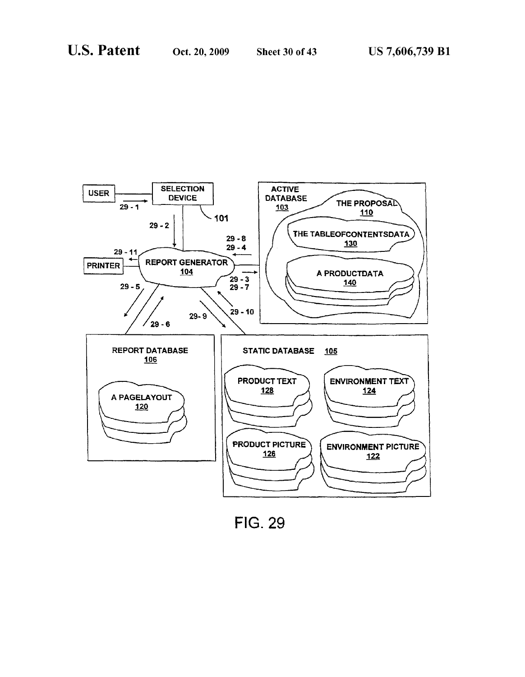

**FIG. 29**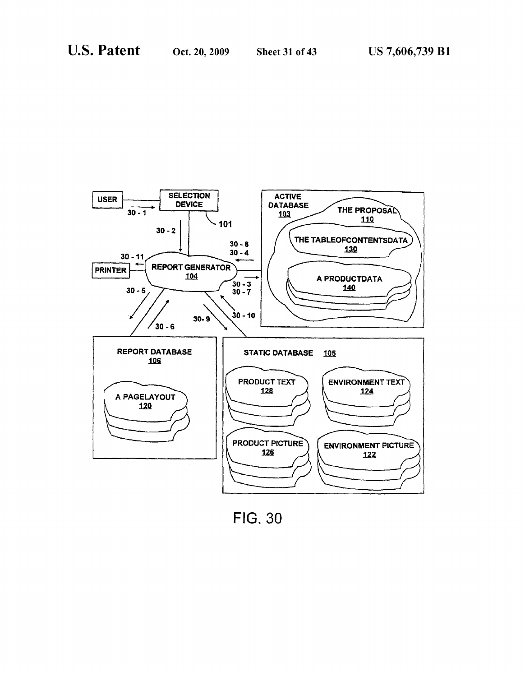

**FIG. 30**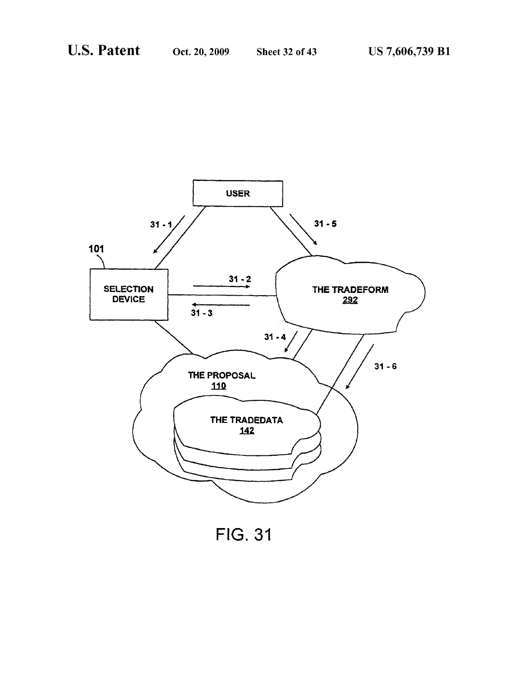

**FIG. 31**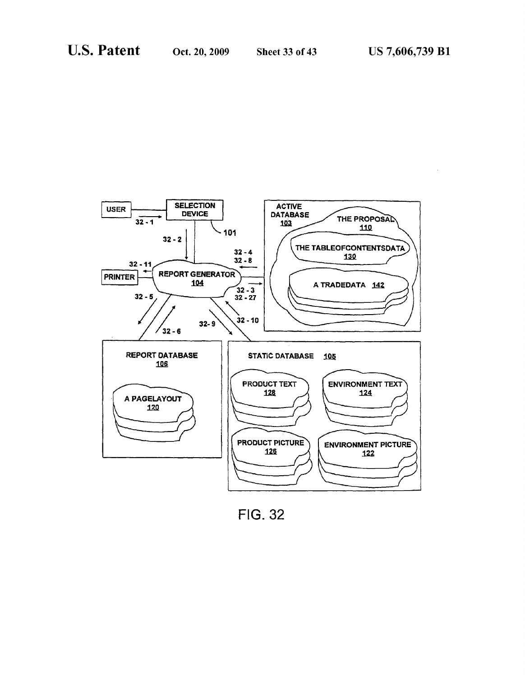

**FIG. 32**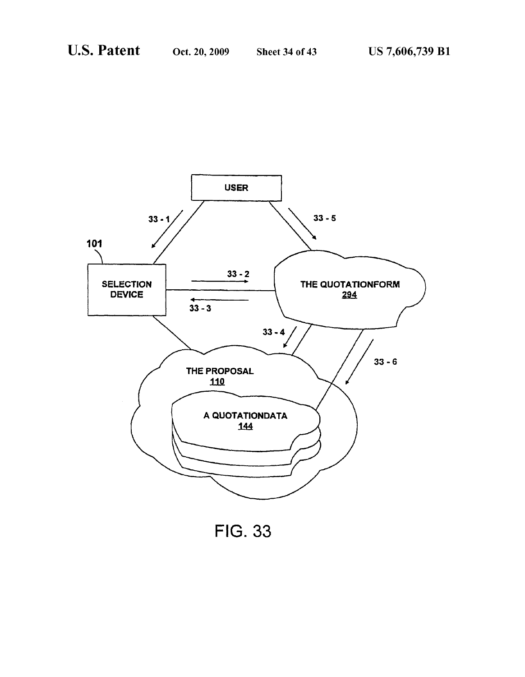

**FIG. 33**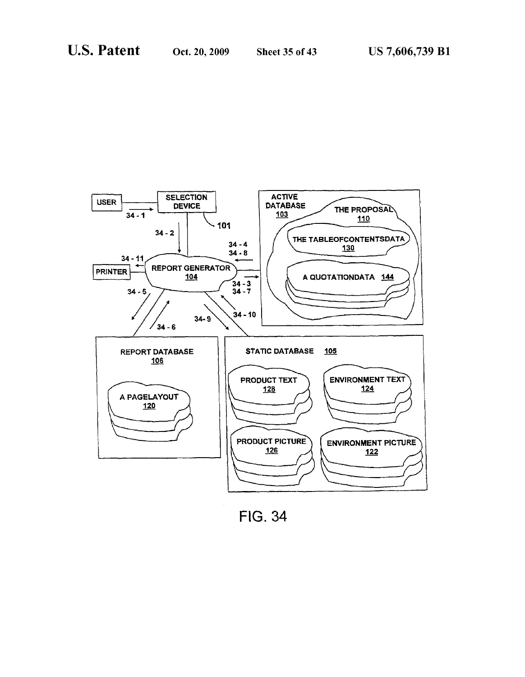

**FIG. 34**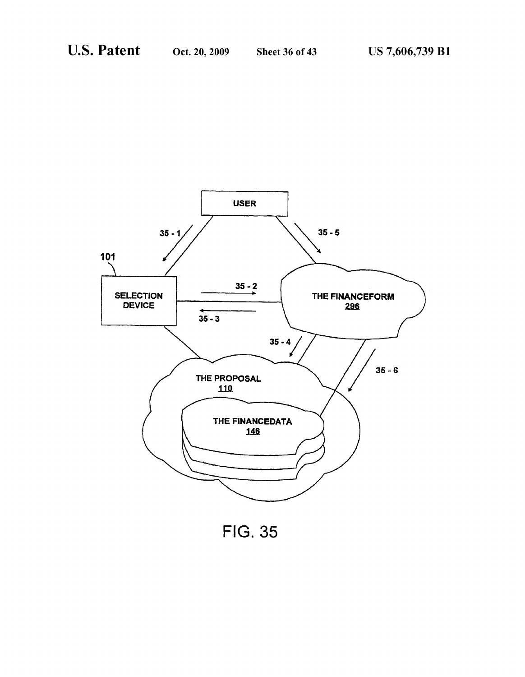

**FIG. 35**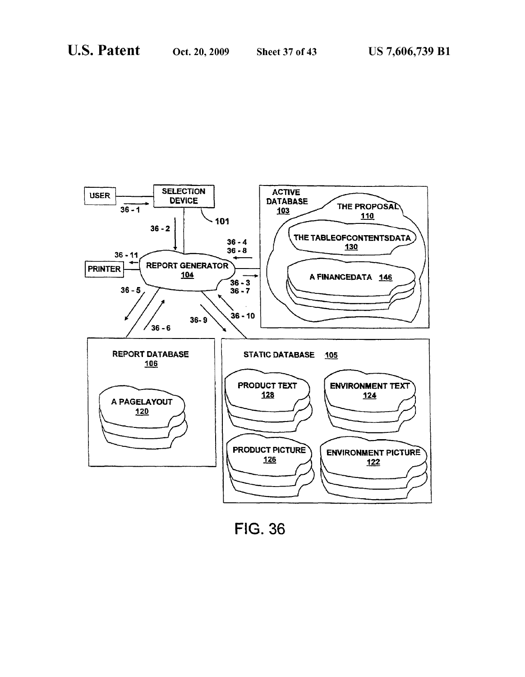

**FIG. 36**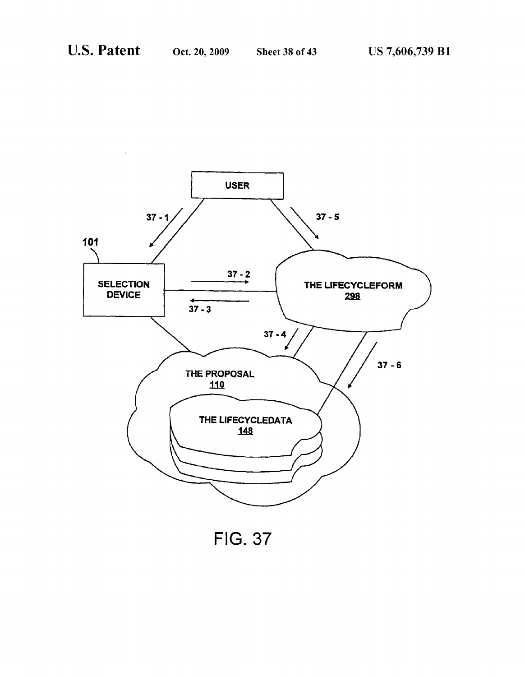

**FIG. 37**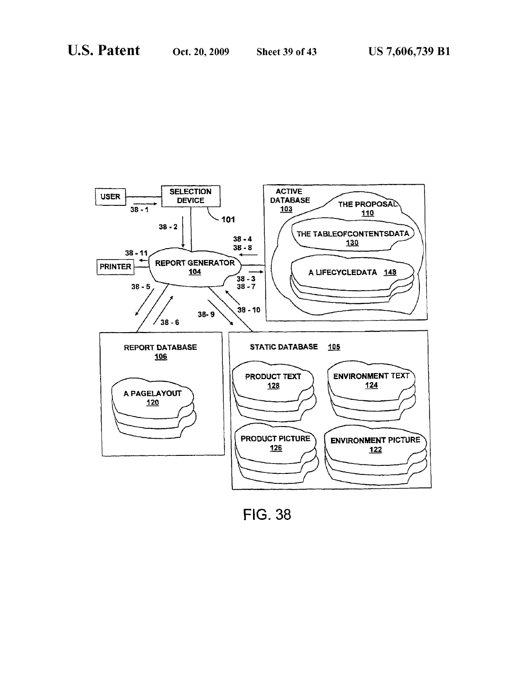

**FIG. 38**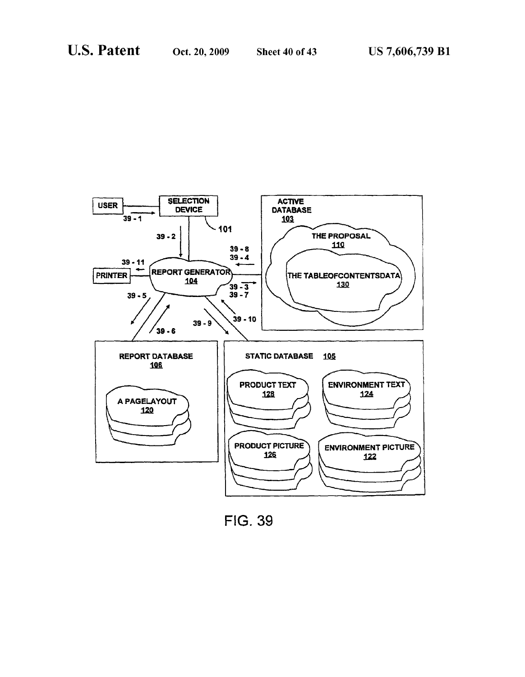

**FIG. 39**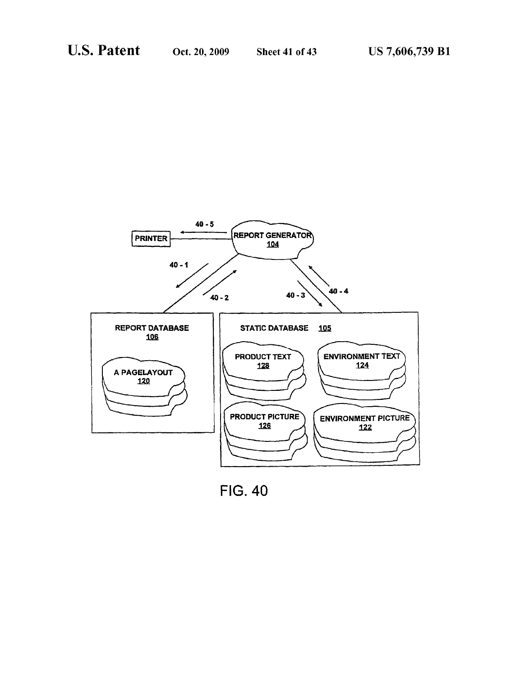

**FIG. 40**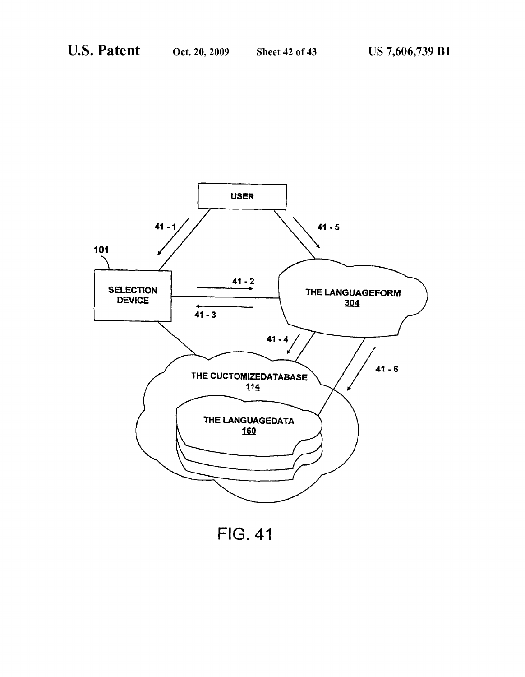

**FIG. 41**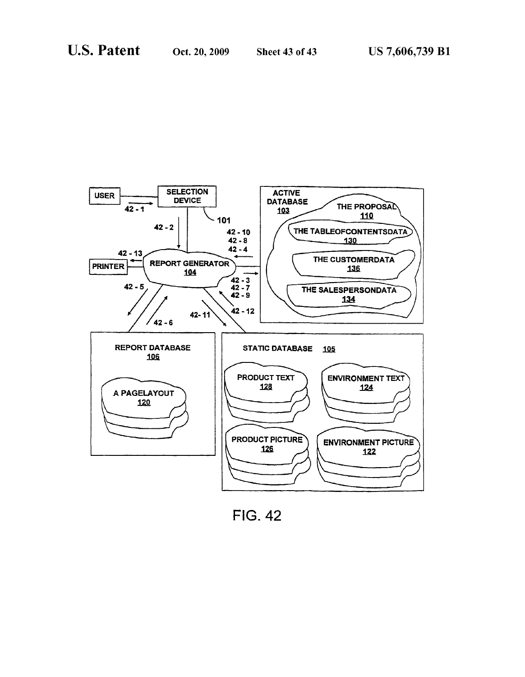

**FIG. 42**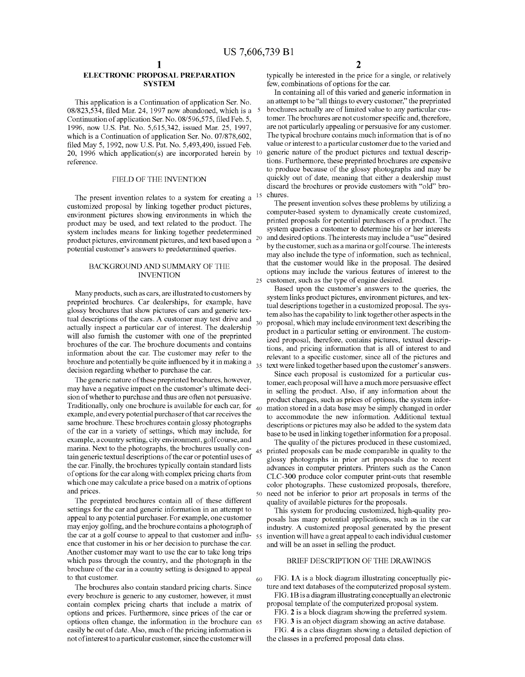### **ELECTRONIC PROPOSAL PREPARATION SYSTEM**

This application is a Continuation of application Ser. No. 08/823,534, filed Mar. 24, 1997 now abandoned, which is a 5 Continuation of application Ser. No. 08/596,575, filed Feb. 5, 1996, now U.S. Pat. No. 5,615,342, issued Mar. 25, 1997, which is a Continuation of application Ser. No. 07/878,602, filed May 5, 1992, now U.S. Pat. No. 5,493,490, issued Feb. 20, 1996 which application(s) are incorporated herein by 10 reference.

### FIELD OF THE INVENTION

The present invention relates to a system for creating a customized proposal by linking together product pictures, environment pictures showing environments in which the product may be used, and text related to the product. The system includes means for linking together predetermined product pictures, environment pictures, and text based upon a <sup>20</sup> potential customer's answers to predetermined queries.

#### BACKGROUND AND SUMMARY OF THE **INVENTION**

Many products, such as cars, are illustrated to customers by preprinted brochures. Car dealerships, for example, have glossy brochures that show pictures of cars and generic textual descriptions of the cars. A customer may test drive and actually inspect a particular car of interest. The dealership will also furnish the customer with one of the preprinted brochures of the car. The brochure documents and contains information about the car. The customer may refer to the brochure and potentially be quite influenced by it in making a decision regarding whether to purchase the car.

The generic nature of these preprinted brochures, however, may have a negative impact on the customer's ultimate decision of whether to purchase and thus are often not persuasive. Traditionally, only one brochure is available for each car, for  $\alpha_0$ example, and every potential purchaser of that car receives the same brochure. These brochures contain glossy photographs of the car in a variety of settings, which may include, for example, a country setting, city environment, golf course, and marina. Next to the photographs, the brochures usually con- $_{45}$ tain generic textual descriptions of the car or potential uses of the car. Finally, the brochures typically contain standard lists of options for the car along with complex pricing charts from which one may calculate a price based on a matrix of options and prices.

The preprinted brochures contain all of these different settings for the car and generic information in an attempt to appeal to any potential purchaser. For example, one customer may enjoy golfing, and the brochure contains a photograph of the car at a golf course to appeal to that customer and influ- $55$ ence that customer in his or her decision to purchase the car. Another customer may want to use the car to take long trips which pass through the country, and the photograph in the brochure of the car in a country setting is designed to appeal to that customer.

The brochures also contain standard pricing charts. Since every brochure is generic to any customer, however, it must contain complex pricing charts that include a matrix of options and prices. Furthermore, since prices of the car or options often change, the information in the brochure can 65 easily be out of date. Also, much of the pricing information is not of interest to a particular customer, since the customer will

typically be interested in the price for a single, or relatively few, combinations of options for the car.

In containing all of this varied and generic information in an attempt to be "all things to every customer," the preprinted brochures actually are of limited value to any particular customer. The brochures are not customer specific and, therefore, are not particularly appealing or persuasive for any customer. The typical brochure contains much information that is of no value or interest to a particular customer due to the varied and generic nature of the product pictures and textual descriptions. Furthermore, these preprinted brochures are expensive to produce because of the glossy photographs and may be quickly out of date, meaning that either a dealership must discard the brochures or provide customers with "old" brochures

The present invention solves these problems by utilizing a computer-based system to dynamically create customized, printed proposals for potential purchasers of a product. The system queries a customer to determine his or her interests and desired options. The interests may include a "use" desired by the customer, such as a marina or golf course. The interests may also include the type of information, such as technical, that the customer would like in the proposal. The desired options may include the various features of interest to the customer, such as the type of engine desired.

Based upon the customer's answers to the queries, the system links product pictures, environment pictures, and textual descriptions together in a customized proposal. The system also has the capability to link together other aspects in the proposal, which may include environment text describing the product in a particular setting or environment. The customized proposal, therefore, contains pictures, textual descriptions, and pricing information that is all of interest to and relevant to a specific customer, since all of the pictures and 35 text were linked together based upon the customer's answers.

Since each proposal is customized for a particular customer, each proposal will have a much more persuasive effect in selling the product. Also, if any information about the product changes, such as prices of options, the system information stored in a data base may be simply changed in order to accommodate the new information. Additional textual descriptions or pictures may also be added to the system data base to be used in linking together information for a proposal.

The quality of the pictures produced in these customized, printed proposals can be made comparable in quality to the glossy photographs in prior art proposals due to recent advances in computer printers. Printers such as the Canon CLC-300 produce color computer print-outs that resemble color photographs. These customized proposals, therefore, 50 need not be inferior to prior art proposals in terms of the quality of available pictures for the proposals.

This system for producing customized, high-quality proposals has many potential applications, such as in the car industry. A customized proposal generated by the present invention will have a great appeal to each individual customer and will be an asset in selling the product.

### BRIEF DESCRIPTION OF THE DRAWINGS

FIG. 1A is a block diagram illustrating conceptually picture and text databases of the computerized proposal system. FIG. 1B is a diagram illustrating conceptually an electronic

60

- proposal template of the computerized proposal system.
	- FIG. 2 is a block diagram showing the preferred system.
	- FIG. 3 is an object diagram showing an active database.

FIG. 4 is a class diagram showing a detailed depiction of the classes in a preferred proposal data class.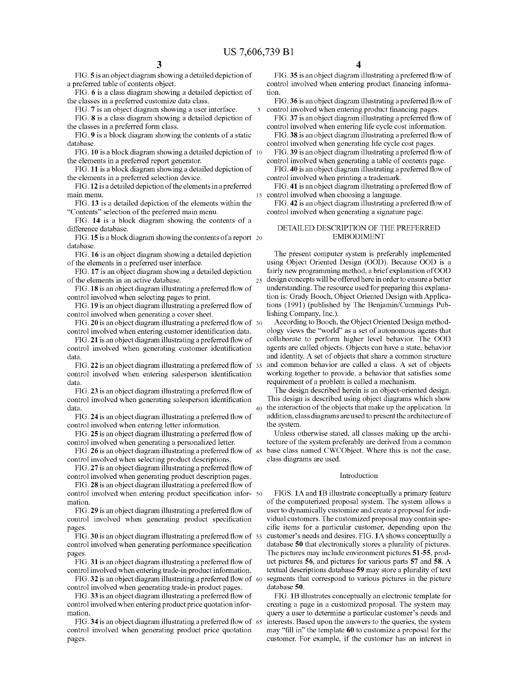25

FIG. 5 is an object diagram showing a detailed depiction of a preferred table of contents object.

FIG. 6 is a class diagram showing a detailed depiction of the classes in a preferred customize data class.

FIG. 7 is an object diagram showing a user interface. FIG. 8 is a class diagram showing a detailed depiction of the classes in a preferred form class.

FIG. 9 is a block diagram showing the contents of a static database.

FIG. 10 is a block diagram showing a detailed depiction of 10 the elements in a preferred report generator.

FIG. 11 is a block diagram showing a detailed depiction of the elements in a preferred selection device.

FIG. 12 is a detailed depiction of the elements in a preferred main menu.

FIG. 13 is a detailed depiction of the elements within the "Contents" selection of the preferred main menu.

FIG. 14 is a block diagram showing the contents of a difference database.

FIG. 15 is a block diagram showing the contents of a report  $20$ database

FIG. 16 is an object diagram showing a detailed depiction of the elements in a preferred user interface.

FIG. 17 is an object diagram showing a detailed depiction of the elements in an active database.

FIG. 18 is an object diagram illustrating a preferred flow of control involved when selecting pages to print.

FIG. 19 is an object diagram illustrating a preferred flow of control involved when generating a cover sheet.

FIG. 20 is an object diagram illustrating a preferred flow of 30 control involved when entering customer identification data.

FIG. 21 is an object diagram illustrating a preferred flow of control involved when generating customer identification data.

FIG. 22 is an object diagram illustrating a preferred flow of 35 control involved when entering salesperson identification data.

FIG. 23 is an object diagram illustrating a preferred flow of control involved when generating salesperson identification data

FIG. 24 is an object diagram illustrating a preferred flow of control involved when entering letter information.

FIG. 25 is an object diagram illustrating a preferred flow of control involved when generating a personalized letter.

FIG. 26 is an object diagram illustrating a preferred flow of 45 control involved when selecting product descriptions.

FIG. 27 is an object diagram illustrating a preferred flow of control involved when generating product description pages.

FIG. 28 is an object diagram illustrating a preferred flow of control involved when entering product specification infor-50 mation.

FIG. 29 is an object diagram illustrating a preferred flow of control involved when generating product specification pages.

FIG. 30 is an object diagram illustrating a preferred flow of 55 control involved when generating performance specification pages

FIG. 31 is an object diagram illustrating a preferred flow of control involved when entering trade-in product information.

FIG. 32 is an object diagram illustrating a preferred flow of 60 control involved when generating trade-in product pages.

FIG. 33 is an object diagram illustrating a preferred flow of control involved when entering product price quotation information.

FIG. 34 is an object diagram illustrating a preferred flow of 65 control involved when generating product price quotation pages.

FIG. 35 is an object diagram illustrating a preferred flow of control involved when entering product financing information

FIG. 36 is an object diagram illustrating a preferred flow of control involved when entering product financing pages.

FIG. 37 is an object diagram illustrating a preferred flow of control involved when entering life cycle cost information.

FIG. 38 is an object diagram illustrating a preferred flow of control involved when generating life cycle cost pages.

FIG. 39 is an object diagram illustrating a preferred flow of control involved when generating a table of contents page.

FIG. 40 is an object diagram illustrating a preferred flow of control involved when printing a trademark.

FIG. 41 is an object diagram illustrating a preferred flow of 15 control involved when choosing a language.

FIG. 42 is an object diagram illustrating a preferred flow of control involved when generating a signature page.

#### DETAILED DESCRIPTION OF THE PREFERRED **EMBODIMENT**

The present computer system is preferably implemented using Object Oriented Design (OOD). Because OOD is a fairly new programming method, a brief explanation of OOD design concepts will be offered here in order to ensure a better understanding. The resource used for preparing this explanation is: Grady Booch, Object Oriented Design with Applications (1991) (published by The Benjamin/Cummings Publishing Company, Inc.).

According to Booch, the Object Oriented Design methodology views the "world" as a set of autonomous agents that collaborate to perform higher level behavior. The OOD agents are called objects. Objects can have a state, behavior and identity. A set of objects that share a common structure and common behavior are called a class. A set of objects working together to provide, a behavior that satisfies some requirement of a problem is called a mechanism.

The design described herein is an object-oriented design. This design is described using object diagrams which show 40 the interaction of the objects that make up the application. In addition, class diagrams are used to present the architecture of the system.

Unless otherwise stated, all classes making up the architecture of the system preferably are derived from a common base class named CWCObject. Where this is not the case, class diagrams are used.

#### Introduction

FIGS. 1A and 1B illustrate conceptually a primary feature of the computerized proposal system. The system allows a user to dynamically customize and create a proposal for individual customers. The customized proposal may contain specific items for a particular customer, depending upon the customer's needs and desires. FIG. 1A shows conceptually a database 50 that electronically stores a plurality of pictures. The pictures may include environment pictures 51-55, product pictures 56, and pictures for various parts 57 and 58. A textual descriptions database 59 may store a plurality of text segments that correspond to various pictures in the picture database 50.

FIG. 1B illustrates conceptually an electronic template for creating a page in a customized proposal. The system may query a user to determine a particular customer's needs and interests. Based upon the answers to the queries, the system may "fill in" the template 60 to customize a proposal for the customer. For example, if the customer has an interest in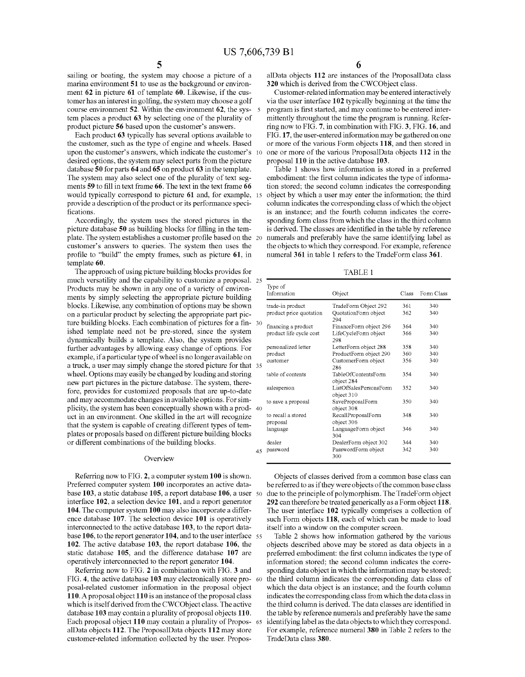sailing or boating, the system may choose a picture of a marina environment 51 to use as the background or environment 62 in picture 61 of template 60. Likewise, if the customer has an interest in golfing, the system may choose a golf course environment 52. Within the environment 62, the sys- 5 tem places a product 63 by selecting one of the plurality of product picture 56 based upon the customer's answers

Each product 63 typically has several options available to the customer, such as the type of engine and wheels. Based upon the customer's answers, which indicate the customer's desired options, the system may select parts from the picture database 50 for parts 64 and 65 on product 63 in the template. The system may also select one of the plurality of text segments 59 to fill in text frame 66. The text in the text frame 66 would typically correspond to picture 61 and, for example, 15 provide a description of the product or its performance specifications

Accordingly, the system uses the stored pictures in the picture database 50 as building blocks for filling in the template. The system establishes a customer profile based on the 20 customer's answers to queries. The system then uses the profile to "build" the empty frames, such as picture 61, in template 60.

The approach of using picture building blocks provides for much versatility and the capability to customize a proposal. 25 Products may be shown in any one of a variety of environments by simply selecting the appropriate picture building blocks. Likewise, any combination of options may be shown on a particular product by selecting the appropriate part picture building blocks. Each combination of pictures for a fin- 30 ished template need not be pre-stored, since the system dynamically builds a template. Also, the system provides further advantages by allowing easy change of options. For example, if a particular type of wheel is no longer available on a truck, a user may simply change the stored picture for that 35 wheel. Options may easily be changed by loading and storing new part pictures in the picture database. The system, therefore, provides for customized proposals that are up-to-date and may accommodate changes in available options. For simplicity, the system has been conceptually shown with a prod-40 uct in an environment. One skilled in the art will recognize that the system is capable of creating different types of templates or proposals based on different picture building blocks or different combinations of the building blocks.

#### Overview

Referring now to FIG. 2, a computer system 100 is shown. Preferred computer system 100 incorporates an active database 103, a static database 105, a report database 106, a user 50 interface 102, a selection device 101, and a report generator 104. The computer system 100 may also incorporate a difference database 107. The selection device 101 is operatively interconnected to the active database 103, to the report database 106, to the report generator 104, and to the user interface 55 102. The active database 103, the report database 106, the static database 105, and the difference database 107 are operatively interconnected to the report generator 104.

Referring now to FIG. 2 in combination with FIG. 3 and FIG. 4, the active database 103 may electronically store pro- 60 posal-related customer information in the proposal object 110. A proposal object 110 is an instance of the proposal class which is itself derived from the CWCObject class. The active database 103 may contain a plurality of proposal objects 110. Each proposal object 110 may contain a plurality of Propos- 65 alData objects 112. The ProposalData objects 112 may store customer-related information collected by the user. Propos-

alData objects 112 are instances of the ProposalData class 320 which is derived from the CWCObject class.

Customer-related information may be entered interactively via the user interface 102 typically beginning at the time the program is first started, and may continue to be entered intermittently throughout the time the program is running. Referring now to FIG. 7, in combination with FIG. 3, FIG. 16, and FIG. 17, the user-entered information may be gathered on one or more of the various Form objects 118, and then stored in one or more of the various ProposalData objects 112 in the proposal 110 in the active database 103.

Table 1 shows how information is stored in a preferred embodiment: the first column indicates the type of information stored; the second column indicates the corresponding object by which a user may enter the information; the third column indicates the corresponding class of which the object is an instance; and the fourth column indicates the corresponding form class from which the class in the third column is derived. The classes are identified in the table by reference numerals and preferably have the same identifying label as the objects to which they correspond. For example, reference numeral 361 in table 1 refers to the TradeForm class 361.

**TABLE 1** 

| Type of<br>Information  | Object                               | Class | Form Class |
|-------------------------|--------------------------------------|-------|------------|
| trade-in product        | TradeForm Object 292                 | 361   | 340        |
| product price quotation | QuotationForm object<br>294          | 362   | 340        |
| financing a product     | FinanceForm object 296               | 364   | 340        |
| product life cycle cost | LifeCycleForm object<br>298          | 366   | 340        |
| personalized letter     | LetterForm object 288                | 358   | 340        |
| product                 | ProductForm object 290               | 360   | 340        |
| customer                | CustomerForm object<br>286           | 356   | 340        |
| table of contents       | TableOfContentsForm<br>object 284    | 354   | 340        |
| salesperson             | ListOfSalesPersonsForm<br>object 310 | 352   | 340        |
| to save a proposal      | SaveProposalForm<br>object 308       | 350   | 340        |
| to recall a stored      | RecallProposalForm                   | 348   | 340        |
| proposal                | object 306                           |       |            |
| language                | LanguageForm object<br>304           | 346   | 340        |
| dealer                  | DealerForm object 302                | 344   | 340        |
| password                | PasswordForm object<br>300           | 342   | 340        |

Objects of classes derived from a common base class can be referred to as if they were objects of the common base class due to the principle of polymorphism. The TradeForm object 292 can therefore be treated generically as a Form object 118. The user interface 102 typically comprises a collection of such Form objects 118, each of which can be made to load itself into a window on the computer screen.

Table 2 shows how information gathered by the various objects described above may be stored as data objects in a preferred embodiment: the first column indicates the type of information stored; the second column indicates the corresponding data object in which the information may be stored; the third column indicates the corresponding data class of which the data object is an instance; and the fourth column indicates the corresponding class from which the data class in the third column is derived. The data classes are identified in the table by reference numerals and preferably have the same identifying label as the data objects to which they correspond. For example, reference numeral 380 in Table 2 refers to the TradeData class 380.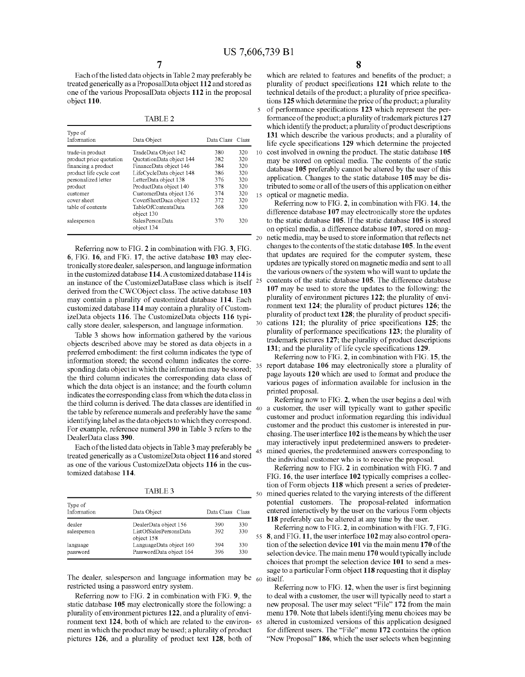$\overline{\mathbf{5}}$ 

 $20$ 

35

45

Each of the listed data objects in Table 2 may preferably be treated generically as a ProposalData object 112 and stored as one of the various ProposalData objects 112 in the proposal object 110.

**TABLE 2** 

| Type of<br>Information  | Data Object                       | Data Class Class |     |
|-------------------------|-----------------------------------|------------------|-----|
| trade-in product        | TradeData Object 142              | 380              | 320 |
| product price quotation | QuotationData object 144          | 382              | 320 |
| financing a product     | FinanceData object 146            | 384              | 320 |
| product life cycle cost | LifeCycleData object 148          | 386              | 320 |
| personalized letter     | LetterData object 138             | 376              | 320 |
| product                 | ProductData object 140            | 378              | 320 |
| customer                | CustomerData object 136           | 374              | 320 |
| cover sheet             | CoverSheetDaca object 132         | 372              | 320 |
| table of contents       | TableOfContentsData<br>object 130 | 368              | 320 |
| salesperson             | SalesPersonData<br>object 134     | 370              | 320 |

Referring now to FIG. 2 in combination with FIG. 3, FIG. 6, FIG. 16, and FIG. 17, the active database 103 may electronically store dealer, salesperson, and language information in the customized database 114. A customized database 114 is 25 an instance of the CustomizeDataBase class which is itself derived from the CWCObject class. The active database 103 may contain a plurality of customized database 114. Each customized database 114 may contain a plurality of CustomizeData objects 116. The CustomizeData objects 116 typically store dealer, salesperson, and language information.

Table 3 shows how information gathered by the various objects described above may be stored as data objects in a preferred embodiment: the first column indicates the type of information stored; the second column indicates the corresponding data object in which the information may be stored; the third column indicates the corresponding data class of which the data object is an instance; and the fourth column indicates the corresponding class from which the data class in the third column is derived. The data classes are identified in the table by reference numerals and preferably have the same identifying label as the data objects to which they correspond. For example, reference numeral 390 in Table 3 refers to the DealerData class 390.

Each of the listed data objects in Table 3 may preferably be treated generically as a CustomizeData object 116 and stored as one of the various CustomizeData objects 116 in the customized database 114.

**TABLE 3** 

| Type of<br>Information | Data Object                                                   | Data Class Class |            |
|------------------------|---------------------------------------------------------------|------------------|------------|
| dealer<br>salesperson  | DealerData object 156<br>ListOfSalesPersonsData<br>object 158 | 390<br>392       | 330<br>330 |
| language<br>password   | LanguageData object 160<br>PasswordData object 164            | 394<br>396       | 330<br>330 |

The dealer, salesperson and language information may be  $60$ restricted using a password entry system.

Referring now to FIG. 2 in combination with FIG. 9, the static database 105 may electronically store the following: a plurality of environment pictures 122, and a plurality of environment text 124, both of which are related to the environ- 65 ment in which the product may be used; a plurality of product pictures 126, and a plurality of product text 128, both of

which are related to features and benefits of the product; a plurality of product specifications 121 which relate to the technical details of the product; a plurality of price specifications 125 which determine the price of the product; a plurality of performance specifications 123 which represent the performance of the product; a plurality of trademark pictures 127 which identify the product; a plurality of product descriptions 131 which describe the various products; and a plurality of life cycle specifications 129 which determine the projected 10 cost involved in owning the product. The static database 105 may be stored on optical media. The contents of the static database 105 preferably cannot be altered by the user of this application. Changes to the static database 105 may be distributed to some or all of the users of this application on either 15 optical or magnetic media.

Referring now to FIG. 2, in combination with FIG. 14, the difference database 107 may electronically store the updates to the static database 105. If the static database 105 is stored on optical media, a difference database 107, stored on magnetic media, may be used to store information that reflects net changes to the contents of the static database 105. In the event that updates are required for the computer system, these updates are typically stored on magnetic media and sent to all the various owners of the system who will want to update the contents of the static database 105. The difference database 107 may be used to store the updates to the following: the plurality of environment pictures 122; the plurality of environment text 124; the plurality of product pictures 126; the plurality of product text 128; the plurality of product specifications 121; the plurality of price specifications 125; the plurality of performance specifications 123; the plurality of trademark pictures 127; the plurality of product descriptions 131; and the plurality of life cycle specifications 129.

Referring now to FIG. 2, in combination with FIG. 15, the report database 106 may electronically store a plurality of page layouts 120 which are used to format and produce the various pages of information available for inclusion in the printed proposal.

Referring now to FIG. 2, when the user begins a deal with 40 a customer, the user will typically want to gather specific customer and product information regarding this individual customer and the product this customer is interested in purchasing. The user interface 102 is the means by which the user may interactively input predetermined answers to predetermined queries, the predetermined answers corresponding to the individual customer who is to receive the proposal.

Referring now to FIG. 2 in combination with FIG. 7 and FIG. 16, the user interface 102 typically comprises a collection of Form objects 118 which present a series of predeter-50 mined queries related to the varying interests of the different potential customers. The proposal-related information entered interactively by the user on the various Form objects 118 preferably can be altered at any time by the user.

Referring now to FIG. 2, in combination with FIG. 7, FIG. 55 8, and FIG. 11, the user interface 102 may also control operation of the selection device 101 via the main menu 170 of the selection device. The main menu 170 would typically include choices that prompt the selection device 101 to send a message to a particular Form object 118 requesting that it display itself.

Referring now to FIG. 12, when the user is first beginning to deal with a customer, the user will typically need to start a new proposal. The user may select "File" 172 from the main menu 170. Note that labels identifying menu choices may be altered in customized versions of this application designed for different users. The "File" menu 172 contains the option "New Proposal" 186, which the user selects when beginning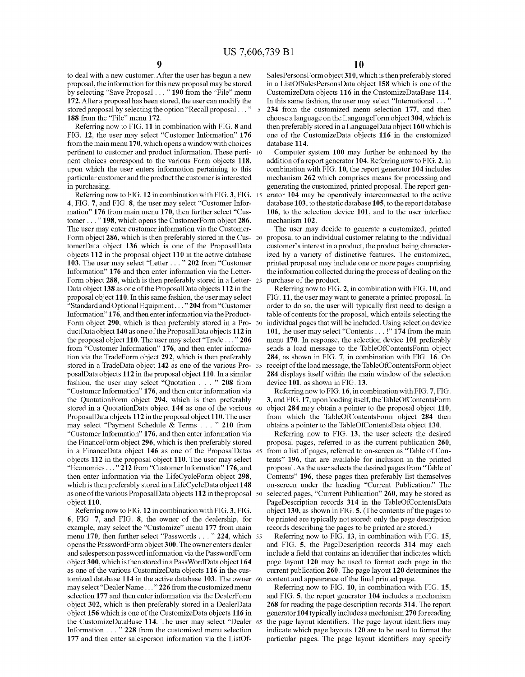to deal with a new customer. After the user has begun a new proposal, the information for this new proposal may be stored by selecting "Save Proposal . . . " 190 from the "File" menu 172. After a proposal has been stored, the user can modify the stored proposal by selecting the option "Recall proposal . . . "  $\tilde{\mathbf{z}}$ 188 from the "File" menu 172.

Referring now to FIG. 11 in combination with FIG. 8 and FIG. 12, the user may select "Customer Information" 176 from the main menu 170, which opens a window with choices pertinent to customer and product information. These perti-10 nent choices correspond to the various Form objects 118, upon which the user enters information pertaining to this particular customer and the product the customer is interested in purchasing.

Referring now to FIG. 12 in combination with FIG. 3, FIG. 15 4, FIG. 7, and FIG. 8, the user may select "Customer Information" 176 from main menu 170, then further select "Customer . . . " 198, which opens the CustomerForm object 286. The user may enter customer information via the Customer-Form object 286, which is then preferably stored in the Cus- 20 tomerData object 136 which is one of the ProposalData objects 112 in the proposal object 110 in the active database 103. The user may select "Letter . . . " 202 from "Customer Information" 176 and then enter information via the Letter-Form object 288, which is then preferably stored in a Letter-25 Data object 138 as one of the ProposalData objects 112 in the proposal object 110. In this same fashion, the user may select "Standard and Optional Equipment . . . " 204 from "Customer Information" 176, and then enter information via the Product-Form object 290, which is then preferably stored in a ProductData object 140 as one of the ProposalData objects 112 in the proposal object 110. The user may select "Trade ..." 206 from "Customer Information" 176, and then enter information via the TradeForm object 292, which is then preferably stored in a TradeData object 142 as one of the various Pro- 35 posalData objects 112 in the proposal object 110. In a similar fashion, the user may select "Quotation . . . " 208 from "Customer Information" 176, and then enter information via the QuotationForm object 294, which is then preferably stored in a QuotationData object 144 as one of the various 40 ProposalData objects 112 in the proposal object 110. The user may select "Payment Schedule & Terms . . . " 210 from "Customer Information" 176, and then enter information via the FinanceForm object 296, which is then preferably stored in a FinanceData object 146 as one of the ProposalDatas 45 objects 112 in the proposal object 110. The user may select "Economics..." 212 from "Customer Information" 176, and then enter information via the LifeCycleForm object 298, which is then preferably stored in a LifeCycleData object 148 as one of the various ProposalData objects 112 in the proposal 50 object 110.

Referring now to FIG. 12 in combination with FIG. 3, FIG. 6, FIG. 7, and FIG. 8, the owner of the dealership, for example, may select the "Customize" menu 177 from main menu 170, then further select "Passwords . . . " 224, which 55 opens the PasswordForm object 300. The owner enters dealer and salesperson password information via the PasswordForm object 300, which is then stored in a PassWordData object 164 as one of the various CustomizeData objects 116 in the customized database 114 in the active database 103. The owner 60 may select "Dealer Name ..." 226 from the customized menu selection 177 and then enter information via the DealerForm object 302, which is then preferably stored in a DealerData object 156 which is one of the CustomizeData objects 116 in the CustomizeDataBase 114. The user may select "Dealer 65 Information . . . " 228 from the customized menu selection 177 and then enter salesperson information via the ListOf-

SalesPersonsForm object 310, which is then preferably stored in a ListOfSalesPersonsData object 158 which is one of the CustomizeData objects 116 in the CustomizeDataBase 114. In this same fashion, the user may select "International ... 234 from the customized menu selection 177, and then choose a language on the LanguageForm object 304, which is then preferably stored in a LanguageData object 160 which is one of the CustomizeData objects 116 in the customized database 114.

Computer system 100 may further be enhanced by the addition of a report generator 104. Referring now to FIG. 2, in combination with FIG. 10, the report generator 104 includes mechanism 262 which comprises means for processing and generating the customized, printed proposal. The report generator 104 may be operatively interconnected to the active database 103, to the static database 105, to the report database  $106$ , to the selection device  $101$ , and to the user interface mechanism 102.

The user may decide to generate a customized, printed proposal to an individual customer relating to the individual customer's interest in a product, the product being characterized by a variety of distinctive features. The customized, printed proposal may include one or more pages comprising the information collected during the process of dealing on the purchase of the product.

Referring now to FIG. 2, in combination with FIG. 10, and FIG. 11, the user may want to generate a printed proposal. In order to do so, the user will typically first need to design a table of contents for the proposal, which entails selecting the individual pages that will be included. Using selection device 101, the user may select "Contents . . . !" 174 from the main menu 170. In response, the selection device 101 preferably sends a load message to the TableOfContentsForm object 284, as shown in FIG. 7, in combination with FIG. 16. On receipt of the load message, the TableOfContentsForm object 284 displays itself within the main window of the selection device 101, as shown in FIG. 13.

Referring now to FIG. 16, in combination with FIG. 7, FIG. 3, and FIG. 17, upon loading itself, the TableOfContentsForm object 284 may obtain a pointer to the proposal object 110, from which the TableOfContentsForm object 284 then obtains a pointer to the TableOfContentsData object 130.

Referring now to FIG. 13, the user selects the desired proposal pages, referred to as the current publication 260, from a list of pages, referred to on-screen as "Table of Contents" 196, that are available for inclusion in the printed proposal. As the user selects the desired pages from "Table of Contents" 196, these pages then preferably list themselves on-screen under the heading "Current Publication." The selected pages, "Current Publication" 260, may be stored as PageDescription records 314 in the TableOfContentsData object 130, as shown in FIG. 5. (The contents of the pages to be printed are typically not stored; only the page description records describing the pages to be printed are stored.)

Referring now to FIG. 13, in combination with FIG. 15, and FIG. 5, the PageDescription records 314 may each include a field that contains an identifier that indicates which page layout 120 may be used to format each page in the current publication 260. The page layout 120 determines the content and appearance of the final printed page.

Referring now to FIG. 10, in combination with FIG. 15, and FIG. 5, the report generator 104 includes a mechanism 268 for reading the page description records 314. The report generator 104 typically includes a mechanism 270 for reading the page layout identifiers. The page layout identifiers may indicate which page layouts 120 are to be used to format the particular pages. The page layout identifiers may specify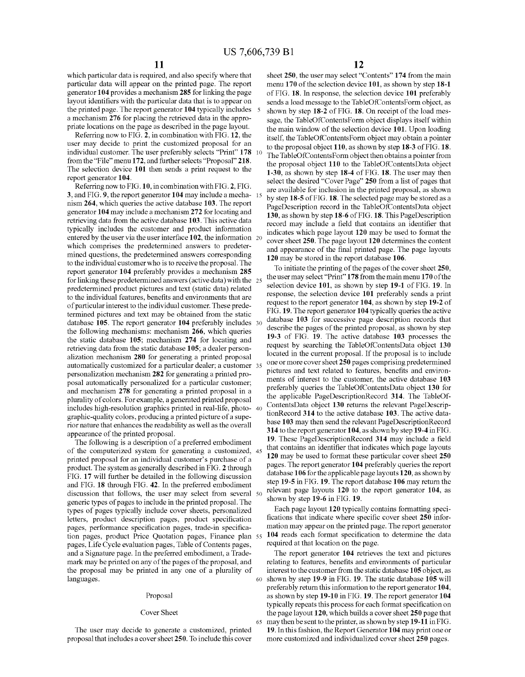which particular data is required, and also specify where that particular data will appear on the printed page. The report generator 104 provides a mechanism 285 for linking the page layout identifiers with the particular data that is to appear on the printed page. The report generator 104 typically includes 5 a mechanism 276 for placing the retrieved data in the appropriate locations on the page as described in the page layout.

Referring now to FIG. 2, in combination with FIG. 12, the user may decide to print the customized proposal for an individual customer. The user preferably selects "Print" 178 from the "File" menu 172, and further selects "Proposal" 218. The selection device 101 then sends a print request to the report generator 104.

Referring now to FIG. 10, in combination with FIG. 2, FIG. 3, and FIG. 9, the report generator 104 may include a mecha-15 nism 264, which queries the active database 103. The report generator 104 may include a mechanism 272 for locating and retrieving data from the active database 103. This active data typically includes the customer and product information entered by the user via the user interface 102, the information 20 which comprises the predetermined answers to predetermined questions, the predetermined answers corresponding to the individual customer who is to receive the proposal. The report generator 104 preferably provides a mechanism 285 for linking these predetermined answers (active data) with the 25 predetermined product pictures and text (static data) related to the individual features, benefits and environments that are of particular interest to the individual customer. These predetermined pictures and text may be obtained from the static database 105. The report generator 104 preferably includes 30 the following mechanisms: mechanism 266, which queries the static database 105; mechanism 274 for locating and retrieving data from the static database 105; a dealer personalization mechanism 280 for generating a printed proposal automatically customized for a particular dealer; a customer 35 personalization mechanism 282 for generating a printed proposal automatically personalized for a particular customer; and mechanism 278 for generating a printed proposal in a plurality of colors. For example, a generated printed proposal includes high-resolution graphics printed in real-life, photo-40 graphic-quality colors, producing a printed picture of a superior nature that enhances the readability as well as the overall appearance of the printed proposal.

The following is a description of a preferred embodiment of the computerized system for generating a customized, 45 printed proposal for an individual customer's purchase of a product. The system as generally described in FIG. 2 through FIG. 17 will further be detailed in the following discussion and FIG. 18 through FIG. 42. In the preferred embodiment discussion that follows, the user may select from several 50 generic types of pages to include in the printed proposal. The types of pages typically include cover sheets, personalized letters, product description pages, product specification pages, performance specification pages, trade-in specification pages, product Price Quotation pages, Finance plan 55 pages, Life Cycle evaluation pages, Table of Contents pages, and a Signature page. In the preferred embodiment, a Trademark may be printed on any of the pages of the proposal, and the proposal may be printed in any one of a plurality of languages.

#### Proposal

#### Cover Sheet

The user may decide to generate a customized, printed proposal that includes a cover sheet 250. To include this cover

65

12

sheet 250, the user may select "Contents" 174 from the main menu 170 of the selection device 101, as shown by step 18-1 of FIG. 18. In response, the selection device 101 preferably sends a load message to the TableOfContentsForm object, as shown by step 18-2 of FIG. 18. On receipt of the load message, the TableOfContentsForm object displays itself within the main window of the selection device 101. Upon loading itself, the TableOfContentsForm object may obtain a pointer to the proposal object 110, as shown by step 18-3 of FIG. 18. The TableOfContentsForm object then obtains a pointer from the proposal object 110 to the TableOfContentsData object 1-30, as shown by step 18-4 of FIG. 18. The user may then select the desired "Cover Page" 250 from a list of pages that are available for inclusion in the printed proposal, as shown by step 18-5 of FIG. 18. The selected page may be stored as a PageDescription record in the TableOfContentsData object 130, as shown by step 18-6 of FIG. 18. This PageDescription record may include a field that contains an identifier that indicates which page layout 120 may be used to format the cover sheet 250. The page layout 120 determines the content and appearance of the final printed page. The page layouts 120 may be stored in the report database 106.

To initiate the printing of the pages of the cover sheet 250, the user may select "Print" 178 from the main menu 170 of the selection device 101, as shown by step 19-1 of FIG. 19. In response, the selection device 101 preferably sends a print request to the report generator 104, as shown by step 19-2 of FIG. 19. The report generator 104 typically queries the active database 103 for successive page description records that describe the pages of the printed proposal, as shown by step 19-3 of FIG. 19. The active database 103 processes the request by searching the TableOfContentsData object 130 located in the current proposal. If the proposal is to include one or more cover sheet 250 pages comprising predetermined pictures and text related to features, benefits and environments of interest to the customer, the active database 103 preferably queries the TableOfContentsData object 130 for the applicable PageDescriptionRecord 314. The TableOf-ContentsData object 130 returns the relevant PageDescriptionRecord 314 to the active database 103. The active database 103 may then send the relevant PageDescriptionRecord 314 to the report generator 104, as shown by step 19-4 in FIG. 19. These PageDescriptionRecord 314 may include a field that contains an identifier that indicates which page layouts 120 may be used to format these particular cover sheet 250 pages. The report generator 104 preferably queries the report database 106 for the applicable page layouts 120, as shown by step 19-5 in FIG. 19. The report database 106 may return the relevant page layouts 120 to the report generator 104, as shown by step 19-6 in FIG. 19.

Each page layout 120 typically contains formatting specifications that indicate where specific cover sheet 250 information may appear on the printed page. The report generator 104 reads each format specification to determine the data required at that location on the page.

The report generator 104 retrieves the text and pictures relating to features, benefits and environments of particular interest to the customer from the static database 105 object, as 60 shown by step 19-9 in FIG. 19. The static database 105 will preferably return this information to the report generator 104, as shown by step 19-10 in FIG. 19. The report generator 104 typically repeats this process for each format specification on the page layout  $120$ , which builds a cover sheet  $250$  page that may then be sent to the printer, as shown by step 19-11 in FIG. 19. In this fashion, the Report Generator 104 may print one or more customized and individualized cover sheet 250 pages.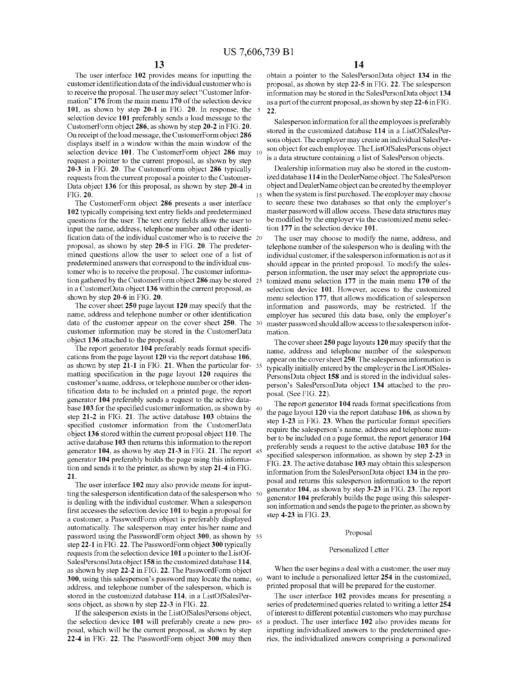The user interface 102 provides means for inputting the customer identification data of the individual customer who is to receive the proposal. The user may select "Customer Information" 176 from the main menu 170 of the selection device 101, as shown by step 20-1 in FIG. 20. In response, the 5 selection device 101 preferably sends a load message to the CustomerForm object 286, as shown by step 20-2 in FIG. 20. On receipt of the load message, the CustomerForm object 286 displays itself in a window within the main window of the selection device 101. The CustomerForm object 286 may  $10$ request a pointer to the current proposal, as shown by step 20-3 in FIG. 20. The CustomerForm object 286 typically requests from the current proposal a pointer to the Customer-Data object 136 for this proposal, as shown by step 20-4 in FIG. 20.

The CustomerForm object 286 presents a user interface 102 typically comprising text entry fields and predetermined questions for the user. The text entry fields allow the user to input the name, address, telephone number and other identification data of the individual customer who is to receive the 20 proposal, as shown by step 20-5 in FIG. 20. The predetermined questions allow the user to select one of a list of predetermined answers that correspond to the individual customer who is to receive the proposal. The customer information gathered by the CustomerForm object 286 may be stored 25 in a CustomerData object 136 within the current proposal, as shown by step 20-6 in FIG. 20.

The cover sheet 250 page layout 120 may specify that the name, address and telephone number or other identification data of the customer appear on the cover sheet 250. The 30 customer information may be stored in the CustomerData object 136 attached to the proposal.

The report generator 104 preferably reads format specifications from the page layout 120 via the report database 106, as shown by step 21-1 in FIG. 21. When the particular for- 35 matting specification in the page layout 120 requires the customer's name, address, or telephone number or other identification data to be included on a printed page, the report generator 104 preferably sends a request to the active database 103 for the specified customer information, as shown by 40 step 21-2 in FIG. 21. The active database 103 obtains the specified customer information from the CustomerData object 136 stored within the current proposal object 110. The active database 103 then returns this information to the report generator 104, as shown by step 21-3 in FIG. 21. The report 45 generator 104 preferably builds the page using this information and sends it to the printer, as shown by step 21-4 in FIG. 21.

The user interface 102 may also provide means for inputting the salesperson identification data of the salesperson who 50 is dealing with the individual customer. When a salesperson first accesses the selection device 101 to begin a proposal for a customer, a PasswordForm object is preferably displayed automatically. The salesperson may enter his/her name and password using the PasswordForm object 300, as shown by 55 step 22-1 in FIG. 22. The PasswordForm object 300 typically requests from the selection device 101 a pointer to the ListOf-SalesPersonsData object 158 in the customized database 114, as shown by step 22-2 in FIG. 22. The PasswordForm object 300, using this salesperson's password may locate the name, 60 address, and telephone number of the salesperson, which is stored in the customized database 114, in a ListOfSalesPersons object, as shown by step 22-3 in FIG. 22.

If the salesperson exists in the ListOfSalesPersons object, the selection device 101 will preferably create a new proposal, which will be the current proposal, as shown by step 22-4 in FIG. 22. The PasswordForm object 300 may then

65

obtain a pointer to the SalesPersonData object 134 in the proposal, as shown by step 22-5 in FIG. 22. The salesperson information may be stored in the SalesPersonData object 134 as a part of the current proposal, as shown by step 22-6 in FIG. 22.

Salesperson information for all the employees is preferably stored in the customized database 114 in a ListOfSalesPersons object. The employer may create an individual SalesPerson object for each employee. The ListOfSalesPersons object is a data structure containing a list of SalesPerson objects.

Dealership information may also be stored in the customized database 114 in the DealerName object. The SalesPerson object and DealerName object can be created by the employer when the system is first purchased. The employer may choose to secure these two databases so that only the employer's master password will allow access. These data structures may be modified by the employer via the customized menu selection 177 in the selection device 101.

The user may choose to modify the name, address, and telephone number of the salesperson who is dealing with the individual customer, if the salesperson information is not as it should appear in the printed proposal. To modify the salesperson information, the user may select the appropriate customized menu selection 177 in the main menu 170 of the selection device 101. However, access to the customized menu selection 177, that allows modification of salesperson information and passwords, may be restricted. If the employer has secured this data base, only the employer's master password should allow access to the salesperson information.

The cover sheet 250 page layouts 120 may specify that the name, address and telephone number of the salesperson appear on the cover sheet 250. The salesperson information is typically initially entered by the employer in the ListOfSales-PersonsData object 158 and is stored in the individual salesperson's SalesPersonData object 134 attached to the proposal. (See FIG. 22).

The report generator 104 reads format specifications from the page layout 120 via the report database 106, as shown by step 1-23 in FIG. 23. When the particular format specifiers require the salesperson's name, address and telephone number to be included on a page format, the report generator 104 preferably sends a request to the active database 103 for the specified salesperson information, as shown by step 2-23 in FIG. 23. The active database 103 may obtain this salesperson information from the SalesPersonData object 134 in the proposal and returns this salesperson information to the report generator 104, as shown by step 3-23 in FIG. 23. The report generator 104 preferably builds the page using this salesperson information and sends the page to the printer, as shown by step 4-23 in FIG. 23.

#### Proposal

#### Personalized Letter

When the user begins a deal with a customer, the user may want to include a personalized letter 254 in the customized, printed proposal that will be prepared for the customer.

The user interface 102 provides means for presenting a series of predetermined queries related to writing a letter 254 of interest to different potential customers who may purchase a product. The user interface 102 also provides means for inputting individualized answers to the predetermined queries, the individualized answers comprising a personalized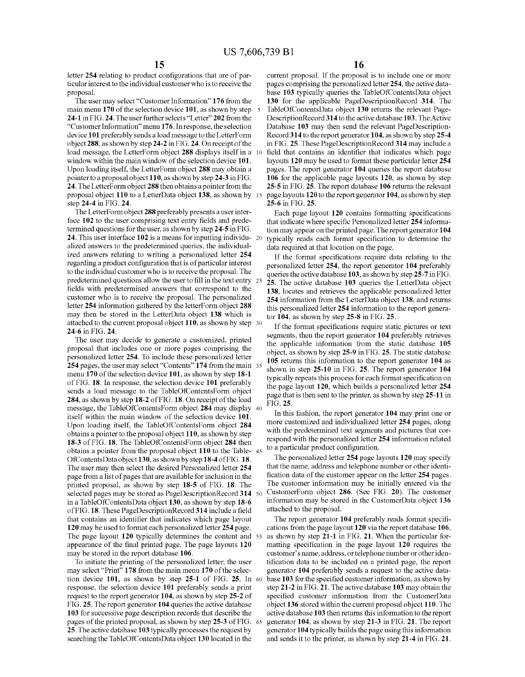letter 254 relating to product configurations that are of particular interest to the individual customer who is to receive the proposal.

The user may select "Customer Information" 176 from the main menu 170 of the selection device 101, as shown by step 24-1 in FIG. 24. The user further selects "Letter" 202 from the "Customer Information" menu 176. In response, the selection device 101 preferably sends a load message to the LetterForm object 288, as shown by step 24-2 in FIG. 24. On receipt of the load message, the LetterForm object 288 displays itself in a 10 window within the main window of the selection device 101. Upon loading itself, the LetterForm object 288 may obtain a pointer to a proposal object 110, as shown by step 24-3 in FIG. 24. The LetterForm object 288 then obtains a pointer from the proposal object 110 to a LetterData object 138, as shown by 15 step 24-4 in FIG. 24.

The LetterForm object 288 preferably presents a user interface 102 to the user comprising text entry fields and predetermined questions for the user, as shown by step 24-5 in FIG. 24. This user interface 102 is a means for inputting individu- 20 alized answers to the predetermined queries, the individualized answers relating to writing a personalized letter 254 regarding a product configuration that is of particular interest to the individual customer who is to receive the proposal. The predetermined questions allow the user to fill in the text entry 25 fields with predetermined answers that correspond to the customer who is to receive the proposal. The personalized letter 254 information gathered by the letterForm object 288 may then be stored in the LetterData object 138 which is attached to the current proposal object 110, as shown by step 30 24-6 in FIG. 24.

The user may decide to generate a customized, printed proposal that includes one or more pages comprising the personalized letter 254. To include these personalized letter 254 pages, the user may select "Contents" 174 from the main 35 menu 170 of the selection device 101, as shown by step  $18-1$ of FIG. 18. In response, the selection device 101 preferably sends a load message to the TableOfContentsForm object 284, as shown by step 18-2 of FIG. 18. On receipt of the load message, the TableOfContentsForm object 284 may display 40 itself within the main window of the selection device 101. Upon loading itself, the TableOfContentsForm object 284 obtains a pointer to the proposal object 110, as shown by step 18-3 of FIG. 18. The TableOfContentsForm object 284 then obtains a pointer from the proposal object 110 to the Table-45 OfContentsData object 130, as shown by step 18-4 of FIG. 18. The user may then select the desired Personalized letter 254 page from a list of pages that are available for inclusion in the printed proposal, as shown by step 18-5 of FIG. 18. The selected pages may be stored as PageDescriptionRecord 314 50 in a TableOfContentsData object 130, as shown by step 18-6 of FIG. 18. These PageDescriptionRecord 314 include a field that contains an identifier that indicates which page layout 120 may be used to format each personalized letter 254 page. The page layout 120 typically determines the content and 55 appearance of the final printed page. The page layouts 120 may be stored in the report database 106.

To initiate the printing of the personalized letter, the user may select "Print" 178 from the main menu 170 of the selection device 101, as shown by step 25-1 of FIG. 25. In 60 response, the selection device 101 preferably sends a print request to the report generator 104, as shown by step 25-2 of FIG. 25. The report generator 104 queries the active database 103 for successive page description records that describe the pages of the printed proposal, as shown by step 25-3 of FIG. 65 25. The active database 103 typically processes the request by searching the TableOfContentsData object 130 located in the

current proposal. If the proposal is to include one or more pages comprising the personalized letter 254, the active database 103 typically queries the TableOfContentsData object 130 for the applicable PageDescriptionRecord 314. The TableOfContentsData object 130 returns the relevant Page-DescriptionRecord 314 to the active database 103. The Active Database 103 may then send the relevant PageDescription-Record 314 to the report generator 104, as shown by step 25-4 in FIG. 25. These PageDescriptionRecord 314 may include a field that contains an identifier that indicates which page layouts 120 may be used to format these particular letter 254 pages. The report generator 104 queries the report database 106 for the applicable page layouts 120, as shown by step 25-5 in FIG. 25. The report database 106 returns the relevant page layouts 120 to the report generator 104, as shown by step 25-6 in FIG. 25.

Each page layout 120 contains formatting specifications that indicate where specific Personalized letter 254 information may appear on the printed page. The report generator 104 typically reads each format specification to determine the data required at that location on the page.

If the format specifications require data relating to the personalized letter 254, the report generator 104 preferably queries the active database 103, as shown by step 25-7 in FIG. 25. The active database 103 queries the LetterData object 138, locates and retrieves the applicable personalized letter 254 information from the LetterData object 138, and returns this personalized letter 254 information to the report generator  $104$ , as shown by step  $25-8$  in FIG.  $25$ .

If the format specifications require static pictures or text segments, then the report generator 104 preferably retrieves the applicable information from the static database 105 object, as shown by step 25-9 in FIG. 25. The static database 105 returns this information to the report generator 104 as shown in step 25-10 in FIG. 25. The report generator 104 typically repeats this process for each format specification on the page layout 120, which builds a personalized letter 254 page that is then sent to the printer, as shown by step 25-11 in FIG. 25.

In this fashion, the report generator 104 may print one or more customized and individualized letter 254 pages, along with the predetermined text segments and pictures that correspond with the personalized letter 254 information related to a particular product configuration.

The personalized letter  $254$  page layouts  $120$  may specify that the name, address and telephone number or other identification data of the customer appear on the letter 254 pages. The customer information may be initially entered via the CustomerForm object 286. (See FIG. 20). The customer information may be stored in the CustomerData object 136 attached to the proposal.

The report generator 104 preferably reads format specifications from the page layout 120 via the report database 106, as shown by step 21-1 in FIG. 21. When the particular formatting specification in the page layout 120 requires the customer's name, address, or telephone number or other identification data to be included on a printed page, the report generator 104 preferably sends a request to the active database 103 for the specified customer information, as shown by step 21-2 in FIG. 21. The active database 103 may obtain the specified customer information from the CustomerData object 136 stored within the current proposal object 110. The active database 103 then returns this information to the report generator 104, as shown by step 21-3 in FIG. 21. The report generator 104 typically builds the page using this information and sends it to the printer, as shown by step 21-4 in FIG. 21.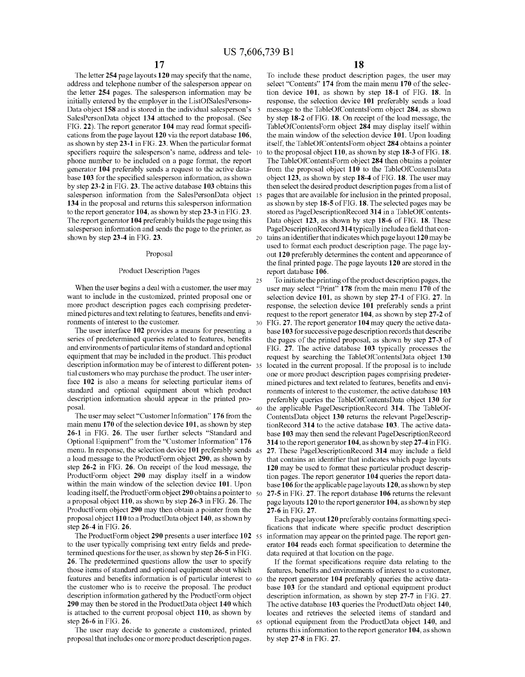$40<sub>1</sub>$ 

The letter 254 page layouts 120 may specify that the name, address and telephone number of the salesperson appear on the letter 254 pages. The salesperson information may be initially entered by the employer in the ListOfSalesPersons-Data object 158 and is stored in the individual salesperson's SalesPersonData object 134 attached to the proposal. (See FIG. 22). The report generator 104 may read format specifications from the page layout 120 via the report database 106, as shown by step 23-1 in FIG. 23. When the particular format specifiers require the salesperson's name, address and telephone number to be included on a page format, the report generator 104 preferably sends a request to the active database 103 for the specified salesperson information, as shown by step 23-2 in FIG. 23. The active database 103 obtains this salesperson information from the SalesPersonData object 15 134 in the proposal and returns this salesperson information to the report generator 104, as shown by step 23-3 in FIG. 23. The report generator 104 preferably builds the page using this salesperson information and sends the page to the printer, as shown by step 23-4 in FIG. 23.

#### Proposal

#### **Product Description Pages**

When the user begins a deal with a customer, the user may want to include in the customized, printed proposal one or more product description pages each comprising predetermined pictures and text relating to features, benefits and environments of interest to the customer.

The user interface 102 provides a means for presenting a series of predetermined queries related to features, benefits and environments of particular items of standard and optional equipment that may be included in the product. This product description information may be of interest to different poten-35 tial customers who may purchase the product. The user interface 102 is also a means for selecting particular items of standard and optional equipment about which product description information should appear in the printed proposal.

The user may select "Customer Information" 176 from the main menu 170 of the selection device 101, as shown by step 26-1 in FIG. 26. The user further selects "Standard and Optional Equipment" from the "Customer Information" 176 menu. In response, the selection device 101 preferably sends  $45$ a load message to the ProductForm object 290, as shown by step 26-2 in FIG. 26. On receipt of the load message, the ProductForm object 290 may display itself in a window within the main window of the selection device 101. Upon loading itself, the ProductForm object 290 obtains a pointer to  $50$ a proposal object 110, as shown by step 26-3 in FIG. 26. The ProductForm object 290 may then obtain a pointer from the proposal object 110 to a ProductData object 140, as shown by step 26-4 in FIG. 26.

The ProductForm object 290 presents a user interface 102 55 to the user typically comprising text entry fields and predetermined questions for the user, as shown by step 26-5 in FIG. 26. The predetermined questions allow the user to specify those items of standard and optional equipment about which features and benefits information is of particular interest to 60 the customer who is to receive the proposal. The product description information gathered by the ProductForm object 290 may then be stored in the ProductData object 140 which is attached to the current proposal object 110, as shown by step 26-6 in FIG. 26. 65

The user may decide to generate a customized, printed proposal that includes one or more product description pages.

18

To include these product description pages, the user may select "Contents" 174 from the main menu 170 of the selection device 101, as shown by step 18-1 of FIG. 18. In response, the selection device 101 preferably sends a load message to the TableOfContentsForm object 284, as shown by step 18-2 of FIG. 18. On receipt of the load message, the TableOfContentsForm object 284 may display itself within the main window of the selection device 101. Upon loading itself, the TableOfContentsForm object 284 obtains a pointer to the proposal object 110, as shown by step 18-3 of FIG. 18. The TableOfContentsForm object 284 then obtains a pointer from the proposal object 110 to the TableOfContentsData object 123, as shown by step 18-4 of FIG. 18. The user may then select the desired product description pages from a list of pages that are available for inclusion in the printed proposal, as shown by step 18-5 of FIG. 18. The selected pages may be stored as PageDescriptionRecord 314 in a TableOfContents-Data object 123, as shown by step 18-6 of FIG. 18. These PageDescriptionRecord 314 typically include a field that con-20 tains an identifier that indicates which page layout 120 may be used to format each product description page. The page layout 120 preferably determines the content and appearance of the final printed page. The page layouts 120 are stored in the report database 106.

To initiate the printing of the product description pages, the user may select "Print" 178 from the main menu 170 of the selection device 101, as shown by step 27-1 of FIG. 27. In response, the selection device 101 preferably sends a print request to the report generator 104, as shown by step 27-2 of FIG. 27. The report generator 104 may query the active database 103 for successive page description records that describe the pages of the printed proposal, as shown by step 27-3 of FIG. 27. The active database 103 typically processes the request by searching the TableOfContentsData object 130 located in the current proposal. If the proposal is to include one or more product description pages comprising predetermined pictures and text related to features, benefits and environments of interest to the customer, the active database 103 preferably queries the TableOfContentsData object 130 for the applicable PageDescriptionRecord 314. The TableOf-ContentsData object 130 returns the relevant PageDescriptionRecord 314 to the active database 103. The active database 103 may then send the relevant PageDescriptionRecord 314 to the report generator 104, as shown by step 27-4 in FIG. 27. These PageDescriptionRecord 314 may include a field that contains an identifier that indicates which page layouts 120 may be used to format these particular product description pages. The report generator 104 queries the report database 106 for the applicable page layouts 120, as shown by step 27-5 in FIG. 27. The report database 106 returns the relevant page layouts 120 to the report generator 104, as shown by step 27-6 in FIG. 27.

Each page layout 120 preferably contains formatting specifications that indicate where specific product description information may appear on the printed page. The report generator 104 reads each format specification to determine the data required at that location on the page.

If the format specifications require data relating to the features, benefits and environments of interest to a customer, the report generator 104 preferably queries the active database 103 for the standard and optional equipment product description information, as shown by step 27-7 in FIG. 27. The active database 103 queries the ProductData object  $140$ , locates and retrieves the selected items of standard and optional equipment from the ProductData object 140, and returns this information to the report generator 104, as shown by step 27-8 in FIG. 27.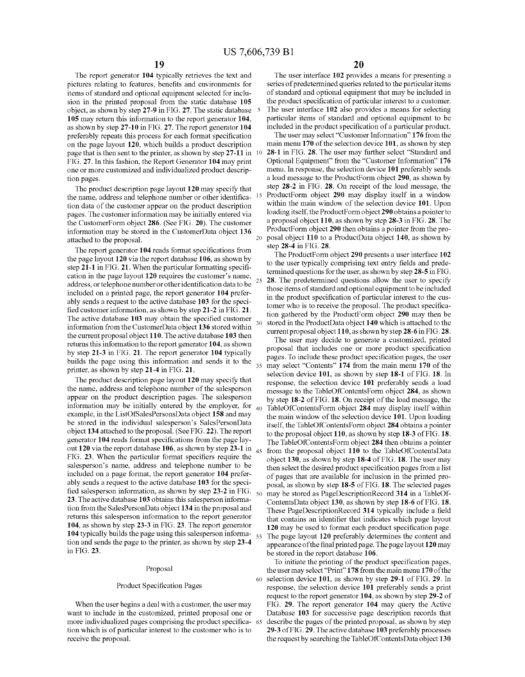25

 $35$ 

60

The report generator 104 typically retrieves the text and pictures relating to features, benefits and environments for items of standard and optional equipment selected for inclusion in the printed proposal from the static database 105 object, as shown by step 27-9 in FIG. 27. The static database 5 105 may return this information to the report generator 104, as shown by step 27-10 in FIG. 27. The report generator 104 preferably repeats this process for each format specification on the page layout 120, which builds a product description page that is then sent to the printer, as shown by step  $27-11$  in  $10$ FIG. 27. In this fashion, the Report Generator 104 may print one or more customized and individualized product description pages.

The product description page layout 120 may specify that the name, address and telephone number or other identification data of the customer appear on the product description pages. The customer information may be initially entered via the CustomerForm object 286. (See FIG. 20). The customer information may be stored in the CustomerData object 136 attached to the proposal.

The report generator 104 reads format specifications from the page layout 120 via the report database 106, as shown by step 21-1 in FIG. 21. When the particular formatting specification in the page layout 120 requires the customer's name, address, or telephone number or other identification data to be included on a printed page, the report generator 104 preferably sends a request to the active database 103 for the specified customer information, as shown by step 21-2 in FIG. 21. The active database 103 may obtain the specified customer information from the CustomerData object 136 stored within the current proposal object 110. The active database 103 then returns this information to the report generator 104, as shown by step 21-3 in FIG. 21. The report generator 104 typically builds the page using this information and sends it to the printer, as shown by step 21-4 in FIG. 21.

The product description page layout 120 may specify that the name, address and telephone number of the salesperson appear on the product description pages. The salesperson information may be initially entered by the employer, for  $_{40}$ example, in the ListOfSalesPersonsData object 158 and may be stored in the individual salesperson's SalesPersonData object 134 attached to the proposal. (See FIG. 22). The report generator 104 reads format specifications from the page layout 120 via the report database 106, as shown by step 23-1 in  $_{45}$ FIG. 23. When the particular format specifiers require the salesperson's name, address and telephone number to be included on a page format, the report generator 104 preferably sends a request to the active database 103 for the specified salesperson information, as shown by step 23-2 in FIG.  $_{50}$ 23. The active database 103 obtains this salesperson information from the SalesPersonData object 134 in the proposal and returns this salesperson information to the report generator 104, as shown by step 23-3 in FIG. 23. The report generator 104 typically builds the page using this salesperson informa-55 tion and sends the page to the printer, as shown by step 23-4 in FIG. 23.

#### Proposal

#### Product Specification Pages

When the user begins a deal with a customer, the user may want to include in the customized, printed proposal one or more individualized pages comprising the product specifica- 65 tion which is of particular interest to the customer who is to receive the proposal.

20

The user interface 102 provides a means for presenting a series of predetermined queries related to the particular items of standard and optional equipment that may be included in the product specification of particular interest to a customer. The user interface 102 also provides a means for selecting particular items of standard and optional equipment to be included in the product specification of a particular product.

The user may select "Customer Information" 176 from the main menu 170 of the selection device 101, as shown by step 28-1 in FIG. 28. The user may further select "Standard and Optional Equipment" from the "Customer Information" 176 menu. In response, the selection device 101 preferably sends a load message to the ProductForm object 290, as shown by step 28-2 in FIG. 28. On receipt of the load message, the ProductForm object 290 may display itself in a window within the main window of the selection device 101. Upon loading itself, the ProductForm object 290 obtains a pointer to a proposal object 110, as shown by step 28-3 in FIG. 28. The ProductForm object 290 then obtains a pointer from the proposal object 110 to a ProductData object 140, as shown by step 28-4 in FIG. 28.

The ProductForm object 290 presents a user interface 102 to the user typically comprising text entry fields and predetermined questions for the user, as shown by step 28-5 in FIG. 28. The predetermined questions allow the user to specify those items of standard and optional equipment to be included in the product specification of particular interest to the customer who is to receive the proposal. The product specification gathered by the ProductForm object 290 may then be stored in the ProductData object 140 which is attached to the current proposal object 110, as shown by step  $28-6$  in FIG. 28.

The user may decide to generate a customized, printed proposal that includes one or more product specification pages. To include these product specification pages, the user may select "Contents" 174 from the main menu 170 of the selection device 101, as shown by step 18-1 of FIG. 18. In response, the selection device 101 preferably sends a load message to the TableOfContentsForm object 284, as shown by step 18-2 of FIG. 18. On receipt of the load message, the TableOfContentsForm object 284 may display itself within the main window of the selection device 101. Upon loading itself, the TableOfContentsForm object 284 obtains a pointer to the proposal object 110, as shown by step 18-3 of FIG. 18. The TableOfContentsForm object 284 then obtains a pointer from the proposal object 110 to the TableOfContentsData object 130, as shown by step 18-4 of FIG. 18. The user may then select the desired product specification pages from a list of pages that are available for inclusion in the printed proposal, as shown by step 18-5 of FIG. 18. The selected pages may be stored as PageDescriptionRecord 314 in a TableOf-ContentsData object 130, as shown by step 18-6 of FIG. 18. These PageDescriptionRecord 314 typically include a field that contains an identifier that indicates which page layout 120 may be used to format each product specification page. The page layout 120 preferably determines the content and appearance of the final printed page. The page layout 120 may be stored in the report database 106.

To initiate the printing of the product specification pages, the user may select "Print" 178 from the main menu 170 of the selection device 101, as shown by step 29-1 of FIG. 29. In response, the selection device 101 preferably sends a print request to the report generator 104, as shown by step 29-2 of FIG. 29. The report generator 104 may query the Active Database 103 for successive page description records that describe the pages of the printed proposal, as shown by step 29-3 of FIG. 29. The active database 103 preferably processes the request by searching the TableOfContentsData object 130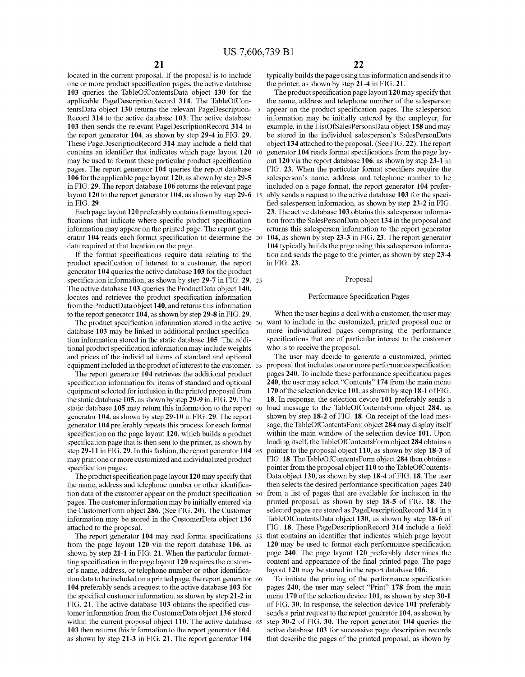located in the current proposal. If the proposal is to include one or more product specification pages, the active database 103 queries the TableOfContentsData object 130 for the applicable PageDescriptionRecord 314. The TableOfContentsData object 130 returns the relevant PageDescription-5 Record 314 to the active database 103. The active database 103 then sends the relevant PageDescriptionRecord 314 to the report generator 104, as shown by step 29-4 in FIG. 29. These PageDescriptionRecord 314 may include a field that contains an identifier that indicates which page layout 120 may be used to format these particular product specification pages. The report generator 104 queries the report database 106 for the applicable page layout 120, as shown by step 29-5 in FIG. 29. The report database 106 returns the relevant page layout 120 to the report generator 104, as shown by step 29-6 15 in FIG. 29.

Each page layout 120 preferably contains formatting specifications that indicate where specific product specification information may appear on the printed page. The report generator 104 reads each format specification to determine the 20 data required at that location on the page.

If the format specifications require data relating to the product specification of interest to a customer, the report generator 104 queries the active database 103 for the product specification information, as shown by step 29-7 in FIG. 29. 25 The active database 103 queries the ProductData object 140, locates and retrieves the product specification information from the ProductData object 140, and returns this information to the report generator 104, as shown by step 29-8 in FIG. 29.

The product specification information stored in the active 30 database 103 may be linked to additional product specification information stored in the static database 105. The additional product specification information may include weights and prices of the individual items of standard and optional equipment included in the product of interest to the customer. 35

The report generator 104 retrieves the additional product specification information for items of standard and optional equipment selected for inclusion in the printed proposal from the static database 105, as shown by step 29-9 in. FIG. 29. The static database  $105$  may return this information to the report 40 generator 104, as shown by step 29-10 in FIG. 29. The report generator 104 preferably repeats this process for each format specification on the page layout 120, which builds a product specification page that is then sent to the printer, as shown by step 29-11 in FIG. 29. In this fashion, the report generator 104 45 may print one or more customized and individualized product specification pages

The product specification page layout 120 may specify that the name, address and telephone number or other identification data of the customer appear on the product specification 50 pages. The customer information may be initially entered via the CustomerForm object 286. (See FIG. 20). The Customer information may be stored in the CustomerData object 136 attached to the proposal.

The report generator 104 may read format specifications 55 from the page layout  $120$  via the report database  $106$ , as shown by step 21-1 in FIG. 21. When the particular formatting specification in the page layout 120 requires the customer's name, address, or telephone number or other identification data to be included on a printed page, the report generator 60 104 preferably sends a request to the active database 103 for the specified customer information, as shown by step 21-2 in FIG. 21. The active database 103 obtains the specified customer information from the CustomerData object 136 stored within the current proposal object 110. The active database 65 103 then returns this information to the report generator 104, as shown by step 21-3 in FIG. 21. The report generator 104

typically builds the page using this information and sends it to the printer, as shown by step 21-4 in FIG. 21.

The product specification page layout 120 may specify that the name, address and telephone number of the salesperson appear on the product specification pages. The salesperson information may be initially entered by the employer, for example, in the ListOfSalesPersonsData object 158 and may be stored in the individual salesperson's SalesPersonData object 134 attached to the proposal. (See FIG. 22). The report generator 104 reads format specifications from the page layout 120 via the report database 106, as shown by step 23-1 in FIG. 23. When the particular format specifiers require the salesperson's name, address and telephone number to be included on a page format, the report generator 104 preferably sends a request to the active database 103 for the specified salesperson information, as shown by step 23-2 in FIG. 23. The active database 103 obtains this salesperson information from the SalesPersonData object 134 in the proposal and returns this salesperson information to the report generator 104, as shown by step 23-3 in FIG. 23. The report generator 104 typically builds the page using this salesperson information and sends the page to the printer, as shown by step 23-4 in FIG. 23.

#### Proposal

#### Performance Specification Pages

When the user begins a deal with a customer, the user may want to include in the customized, printed proposal one or more individualized pages comprising the performance specifications that are of particular interest to the customer who is to receive the proposal.

The user may decide to generate a customized, printed proposal that includes one or more performance specification pages 240. To include these performance specification pages 240, the user may select "Contents" 174 from the main menu 170 of the selection device 101, as shown by step 18-1 of FIG. 18. In response, the selection device 101 preferably sends a load message to the TableOfContentsForm object 284, as shown by step 18-2 of FIG. 18. On receipt of the load message, the TableOfContentsForm object 284 may display itself within the main window of the selection device 101. Upon loading itself, the TableOfContentsForm object 284 obtains a pointer to the proposal object 110, as shown by step 18-3 of FIG. 18. The TableOfContentsForm object 284 then obtains a pointer from the proposal object 110 to the TableOfContents-Data object 130, as shown by step 18-4 of FIG. 18. The user then selects the desired performance specification pages 240 from a list of pages that are available for inclusion in the printed proposal, as shown by step 18-5 of FIG. 18. The selected pages are stored as PageDescriptionRecord 314 in a TableOfContentsData object 130, as shown by step 18-6 of FIG. 18. These PageDescriptionRecord 314 include a field that contains an identifier that indicates which page layout 120 may be used to format each performance specification page 240. The page layout 120 preferably determines the content and appearance of the final printed page. The page layout 120 may be stored in the report database 106.

To initiate the printing of the performance specification pages 240, the user may select "Print" 178 from the main menu 170 of the selection device 101, as shown by step 30-1 of FIG. 30. In response, the selection device 101 preferably sends a print request to the report generator 104, as shown by step 30-2 of FIG. 30. The report generator 104 queries the active database 103 for successive page description records that describe the pages of the printed proposal, as shown by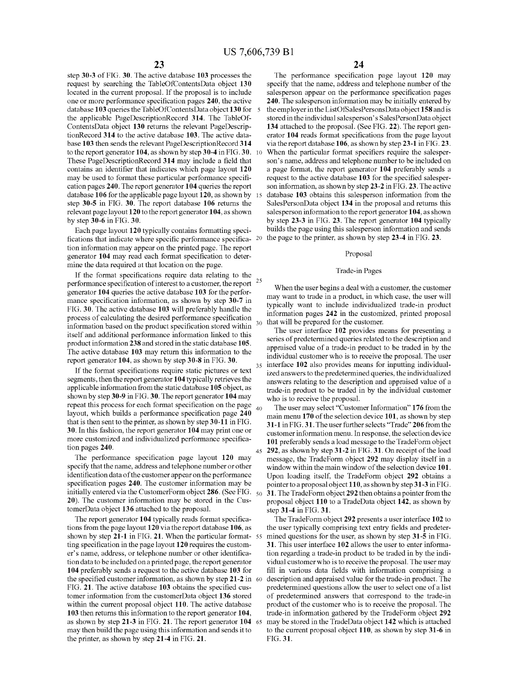step 30-3 of FIG. 30. The active database 103 processes the request by searching the TableOfContentsData object 130 located in the current proposal. If the proposal is to include one or more performance specification pages 240, the active database 103 queries the TableOfContentsData object 130 for 5 the applicable PageDescriptionRecord 314. The TableOf-ContentsData object 130 returns the relevant PageDescriptionRecord 314 to the active database 103. The active database 103 then sends the relevant PageDescriptionRecord 314 to the report generator 104, as shown by step 30-4 in FIG. 30.  $10$ These PageDescriptionRecord 314 may include a field that contains an identifier that indicates which page layout 120 may be used to format these particular performance specification pages 240. The report generator 104 queries the report database 106 for the applicable page layout 120, as shown by 15 step 30-5 in FIG. 30. The report database 106 returns the relevant page layout 120 to the report generator 104, as shown by step  $30-6$  in FIG.  $30$ .

Each page layout 120 typically contains formatting specifications that indicate where specific performance specifica- 20 the page to the printer, as shown by step 23-4 in FIG. 23. tion information may appear on the printed page. The report generator 104 may read each format specification to determine the data required at that location on the page.

If the format specifications require data relating to the 25 performance specification of interest to a customer, the report generator 104 queries the active database 103 for the performance specification information, as shown by step 30-7 in FIG. 30. The active database 103 will preferably handle the process of calculating the desired performance specification information based on the product specification stored within itself and additional performance information linked to this product information 238 and stored in the static database 105. The active database 103 may return this information to the report generator 104, as shown by step 30-8 in FIG. 30.

If the format specifications require static pictures or text segments, then the report generator 104 typically retrieves the applicable information from the static database 105 object, as shown by step 30-9 in FIG. 30. The report generator 104 may repeat this process for each format specification on the page layout, which builds a performance specification page 240 that is then sent to the printer, as shown by step 30-11 in FIG. 30. In this fashion, the report generator 104 may print one or more customized and individualized performance specification pages 240.

The performance specification page layout 120 may specify that the name, address and telephone number or other identification data of the customer appear on the performance specification pages 240. The customer information may be initially entered via the CustomerForm object 286. (See FIG.  $_{50}$ 20). The customer information may be stored in the CustomerData object 136 attached to the proposal.

The report generator 104 typically reads format specifications from the page layout 120 via the report database 106, as shown by step 21-1 in FIG. 21. When the particular format-55 ting specification in the page layout 120 requires the customer's name, address, or telephone number or other identification data to be included on a printed page, the report generator 104 preferably sends a request to the active database 103 for the specified customer information, as shown by step 21-2 in 60 FIG. 21. The active database 103 obtains the specified customer information from the customerData object 136 stored within the current proposal object 110. The active database 103 then returns this information to the report generator 104, as shown by step 21-3 in FIG. 21. The report generator 104 may then build the page using this information and sends it to the printer, as shown by step 21-4 in FIG. 21.

The performance specification page layout 120 may specify that the name, address and telephone number of the salesperson appear on the performance specification pages 240. The salesperson information may be initially entered by the employer in the ListOfSalesPersonsData object 158 and is stored in the individual salesperson's SalesPersonData object 134 attached to the proposal. (See FIG. 22). The report generator 104 reads format specifications from the page layout via the report database 106, as shown by step 23-1 in FIG. 23. When the particular format specifiers require the salesperson's name, address and telephone number to be included on a page format, the report generator 104 preferably sends a request to the active database 103 for the specified salesperson information, as shown by step 23-2 in FIG. 23. The active database 103 obtains this salesperson information from the SalesPersonData object 134 in the proposal and returns this salesperson information to the report generator 104, as shown by step 23-3 in FIG. 23. The report generator 104 typically builds the page using this salesperson information and sends

#### Proposal

#### Trade-in Pages

When the user begins a deal with a customer, the customer may want to trade in a product, in which case, the user will typically want to include individualized trade-in product information pages 242 in the customized, printed proposal that will be prepared for the customer.

The user interface 102 provides means for presenting a series of predetermined queries related to the description and appraised value of a trade-in product to be traded in by the individual customer who is to receive the proposal. The user 35 interface 102 also provides means for inputting individualized answers to the predetermined queries, the individualized answers relating to the description and appraised value of a trade-in product to be traded in by the individual customer who is to receive the proposal.

The user may select "Customer Information" 176 from the main menu 170 of the selection device 101, as shown by step 31-1 in FIG. 31. The user further selects "Trade" 206 from the customer information menu. In response, the selection device 101 preferably sends a load message to the TradeForm object 292, as shown by step 31-2 in FIG. 31. On receipt of the load message, the TradeForm object 292 may display itself in a window within the main window of the selection device 101. Upon loading itself, the TradeForm object 292 obtains a pointer to a proposal object 110, as shown by step 31-3 in FIG. 31. The TradeForm object 292 then obtains a pointer from the proposal object 110 to a TradeData object 142, as shown by step 31-4 in FIG. 31.

The TradeForm object 292 presents a user interface 102 to the user typically comprising text entry fields and predetermined questions for the user, as shown by step 31-5 in FIG. 31. This user interface 102 allows the user to enter information regarding a trade-in product to be traded in by the individual customer who is to receive the proposal. The user may fill in various data fields with information comprising a description and appraised value for the trade-in product. The predetermined questions allow the user to select one of a list of predetermined answers that correspond to the trade-in product of the customer who is to receive the proposal. The trade-in information gathered by the TradeForm object 292 may be stored in the TradeData object 142 which is attached to the current proposal object 110, as shown by step 31-6 in FIG. 31.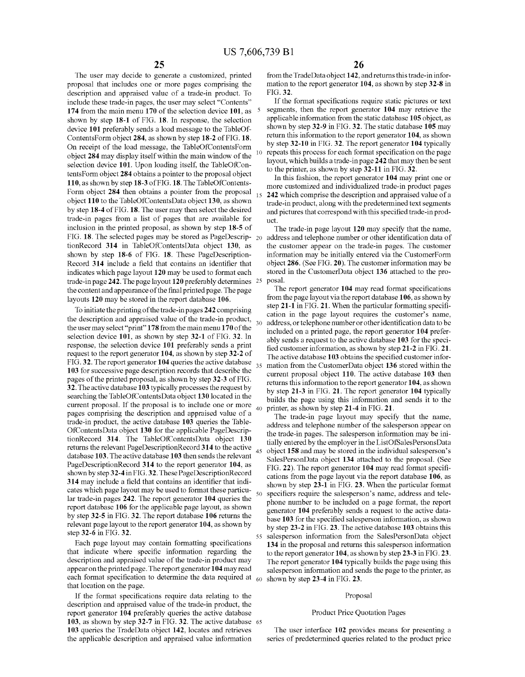55

The user may decide to generate a customized, printed proposal that includes one or more pages comprising the description and appraised value of a trade-in product. To include these trade-in pages, the user may select "Contents" 174 from the main menu 170 of the selection device 101, as shown by step 18-1 of FIG. 18. In response, the selection device 101 preferably sends a load message to the TableOf-ContentsForm object 284, as shown by step 18-2 of FIG. 18. On receipt of the load message, the TableOfContentsForm object 284 may display itself within the main window of the selection device 101. Upon loading itself, the TableOfContentsForm object 284 obtains a pointer to the proposal object 110, as shown by step 18-3 of FIG. 18. The TableOfContents-Form object 284 then obtains a pointer from the proposal object 110 to the TableOfContentsData object 130, as shown by step 18-4 of FIG. 18. The user may then select the desired trade-in pages from a list of pages that are available for inclusion in the printed proposal, as shown by step 18-5 of FIG. 18. The selected pages may be stored as PageDescrip-  $_{20}$ tionRecord 314 in TableOfContentsData object 130, as shown by step 18-6 of FIG. 18. These PageDescription-Record 314 include a field that contains an identifier that indicates which page layout 120 may be used to format each trade-in page 242. The page layout 120 preferably determines 25 the content and appearance of the final printed page. The page layouts 120 may be stored in the report database 106.

To initiate the printing of the trade-in pages 242 comprising the description and appraised value of the trade-in product, the user may select "print" 178 from the main menu 170 of the selection device 101, as shown by step 32-1 of FIG. 32. In response, the selection device 101 preferably sends a print request to the report generator 104, as shown by step 32-2 of FIG. 32. The report generator 104 queries the active database  $35$ 103 for successive page description records that describe the pages of the printed proposal, as shown by step 32-3 of FIG. 32. The active database 103 typically processes the request by searching the TableOfContentsData object 130 located in the current proposal. If the proposal is to include one or more pages comprising the description and appraised value of a trade-in product, the active database 103 queries the Table-OfContentsData object 130 for the applicable PageDescriptionRecord 314. The TableOfContentsData object 130 returns the relevant PageDescriptionRecord 314 to the active database 103. The active database 103 then sends the relevant PageDescriptionRecord 314 to the report generator 104, as shown by step 32-4 in FIG. 32. These PageDescriptionRecord 314 may include a field that contains an identifier that indicates which page layout may be used to format these particular trade-in pages 242. The report generator 104 queries the report database 106 for the applicable page layout, as shown by step 32-5 in FIG. 32. The report database 106 returns the relevant page layout to the report generator 104, as shown by step 32-6 in FIG. 32.

Each page layout may contain formatting specifications that indicate where specific information regarding the description and appraised value of the trade-in product may appear on the printed page. The report generator 104 may read each format specification to determine the data required at  $_{60}$ that location on the page.

If the format specifications require data relating to the description and appraised value of the trade-in product, the report generator 104 preferably queries the active database 103, as shown by step 32-7 in FIG. 32. The active database 65 103 queries the TradeData object 142, locates and retrieves the applicable description and appraised value information

from the TradeData object 142, and returns this trade-in information to the report generator 104, as shown by step 32-8 in FIG. 32.

If the format specifications require static pictures or text segments, then the report generator 104 may retrieve the applicable information from the static database 105 object, as shown by step 32-9 in FIG. 32. The static database 105 may return this information to the report generator 104, as shown by step 32-10 in FIG. 32. The report generator 104 typically repeats this process for each format specification on the page layout, which builds a trade-in page 242 that may then be sent to the printer, as shown by step 32-11 in FIG. 32.

In this fashion, the report generator 104 may print one or more customized and individualized trade-in product pages 242 which comprise the description and appraised value of a trade-in product, along with the predetermined text segments and pictures that correspond with this specified trade-in product.

The trade-in page layout 120 may specify that the name, address and telephone number or other identification data of the customer appear on the trade-in pages. The customer information may be initially entered via the CustomerForm object 286. (See FIG. 20). The customer information may be stored in the CustomerData object 136 attached to the proposal.

The report generator 104 may read format specifications from the page layout via the report database 106, as shown by step 21-1 in FIG. 21. When the particular formatting specification in the page layout requires the customer's name, address, or telephone number or other identification data to be included on a printed page, the report generator 104 preferably sends a request to the active database 103 for the specified customer information, as shown by step 21-2 in FIG. 21. The active database 103 obtains the specified customer information from the CustomerData object 136 stored within the current proposal object 110. The active database 103 then returns this information to the report generator 104, as shown by step 21-3 in FIG. 21. The report generator 104 typically builds the page using this information and sends it to the printer, as shown by step 21-4 in FIG. 21.

The trade-in page layout may specify that the name, address and telephone number of the salesperson appear on the trade-in pages. The salesperson information may be initially entered by the employer in the ListOfSalesPersonsData object 158 and may be stored in the individual salesperson's SalesPersonData object 134 attached to the proposal. (See FIG. 22). The report generator 104 may read format specifications from the page layout via the report database 106, as shown by step 23-1 in FIG. 23. When the particular format specifiers require the salesperson's name, address and telephone number to be included on a page format, the report generator 104 preferably sends a request to the active database 103 for the specified salesperson information, as shown by step 23-2 in FIG. 23. The active database 103 obtains this salesperson information from the SalesPersonData object 134 in the proposal and returns this salesperson information to the report generator 104, as shown by step 23-3 in FIG. 23. The report generator 104 typically builds the page using this salesperson information and sends the page to the printer, as shown by step 23-4 in FIG. 23.

#### Proposal

#### Product Price Quotation Pages

The user interface 102 provides means for presenting a series of predetermined queries related to the product price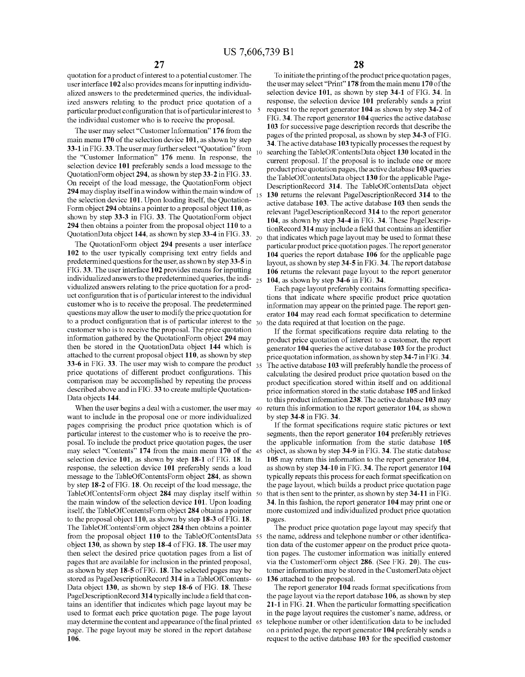30

quotation for a product of interest to a potential customer. The user interface 102 also provides means for inputting individualized answers to the predetermined queries, the individualized answers relating to the product price quotation of a particular product configuration that is of particular interest to  $5$ the individual customer who is to receive the proposal.

The user may select "Customer Information" 176 from the main menu 170 of the selection device 101, as shown by step 33-1 in FIG. 33. The user may further select "Quotation" from the "Customer Information" 176 menu. In response, the selection device 101 preferably sends a load message to the QuotationForm object 294, as shown by step 33-2 in FIG. 33. On receipt of the load message, the QuotationForm object 294 may display itself in a window within the main window of the selection device 101. Upon loading itself, the Quotation-Form object 294 obtains a pointer to a proposal object 110, as shown by step 33-3 in FIG. 33. The QuotationForm object 294 then obtains a pointer from the proposal object 110 to a QuotationData object 144, as shown by step 33-4 in FIG. 33.  $_{20}$ 

The QuotationForm object 294 presents a user interface 102 to the user typically comprising text entry fields and predetermined questions for the user, as shown by step 33-5 in FIG. 33. The user interface 102 provides means for inputting individualized answers to the predetermined queries, the individualized answers relating to the price quotation for a product configuration that is of particular interest to the individual customer who is to receive the proposal. The predetermined questions may allow the user to modify the price quotation for to a product configuration that is of particular interest to the customer who is to receive the proposal. The price quotation information gathered by the QuotationForm object 294 may then be stored in the QuotationData object 144 which is attached to the current proposal object 110, as shown by step 33-6 in FIG. 33. The user may wish to compare the product  $35$ price quotations of different product configurations. This comparison may be accomplished by repeating the process described above and in FIG. 33 to create multiple Quotation-Data objects 144.

When the user begins a deal with a customer, the user may 40 want to include in the proposal one or more individualized pages comprising the product price quotation which is of particular interest to the customer who is to receive the proposal. To include the product price quotation pages, the user may select "Contents" 174 from the main menu 170 of the 45 selection device 101, as shown by step 18-1 of FIG. 18. In response, the selection device 101 preferably sends a load message to the TableOfContentsForm object 284, as shown by step 18-2 of FIG. 18. On receipt of the load message, the TableOfContentsForm object 284 may display itself within 50 the main window of the selection device 101. Upon loading itself, the TableOfContentsForm object 284 obtains a pointer to the proposal object  $110$ , as shown by step 18-3 of FIG. 18. The TableOfContentsForm object 284 then obtains a pointer from the proposal object 110 to the TableOfContentsData 55 object 130, as shown by step 18-4 of FIG. 18. The user may then select the desired price quotation pages from a list of pages that are available for inclusion in the printed proposal, as shown by step 18-5 of FIG. 18. The selected pages may be stored as PageDescriptionRecord 314 in a TableOfContents-60 Data object 130, as shown by step 18-6 of FIG. 18. These PageDescriptionRecord 314 typically include a field that contains an identifier that indicates which page layout may be used to format each price quotation page. The page layout may determine the content and appearance of the final printed 65 page. The page layout may be stored in the report database 106.

To initiate the printing of the product price quotation pages, the user may select "Print" 178 from the main menu 170 of the selection device 101, as shown by step 34-1 of FIG. 34. In response, the selection device 101 preferably sends a print request to the report generator 104 as shown by step 34-2 of FIG. 34. The report generator 104 queries the active database 103 for successive page description records that describe the pages of the printed proposal, as shown by step 34-3 of FIG. 34. The active database 103 typically processes the request by searching the TableOfContentsData object 130 located in the current proposal. If the proposal is to include one or more product price quotation pages, the active database 103 queries the TableOfContentsData object 130 for the applicable Page-DescriptionRecord 314. The TableOfContentsData object 130 returns the relevant PageDescriptionRecord 314 to the active database 103. The active database 103 then sends the relevant PageDescriptionRecord 314 to the report generator 104, as shown by step 34-4 in FIG. 34. These PageDescriptionRecord 314 may include a field that contains an identifier that indicates which page layout may be used to format these particular product price quotation pages. The report generator 104 queries the report database 106 for the applicable page layout, as shown by step 34-5 in FIG. 34. The report database 106 returns the relevant page layout to the report generator 104, as shown by step 34-6 in FIG. 34.

Each page layout preferably contains formatting specifications that indicate where specific product price quotation information may appear on the printed page. The report generator 104 may read each format specification to determine the data required at that location on the page.

If the format specifications require data relating to the product price quotation of interest to a customer, the report generator 104 queries the active database 103 for the product price quotation information, as shown by step 34-7 in FIG. 34. The active database 103 will preferably handle the process of calculating the desired product price quotation based on the product specification stored within itself and on additional price information stored in the static database 105 and linked to this product information 238. The active database 103 may return this information to the report generator 104, as shown by step  $34-8$  in FIG. 34.

If the format specifications require static pictures or text segments, then the report generator 104 preferably retrieves the applicable information from the static database 105 object, as shown by step 34-9 in FIG. 34. The static database 105 may return this information to the report generator 104, as shown by step 34-10 in FIG. 34. The report generator 104 typically repeats this process for each format specification on the page layout, which builds a product price quotation page that is then sent to the printer, as shown by step 34-11 in FIG. 34. In this fashion, the report generator 104 may print one or more customized and individualized product price quotation pages.

The product price quotation page layout may specify that the name, address and telephone number or other identification data of the customer appear on the product price quotation pages. The customer information was initially entered via the CustomerForm object 286. (See FIG. 20). The customer information may be stored in the CustomerData object 136 attached to the proposal.

The report generator 104 reads format specifications from the page layout via the report database 106, as shown by step 21-1 in FIG. 21. When the particular formatting specification in the page layout requires the customer's name, address, or telephone number or other identification data to be included on a printed page, the report generator 104 preferably sends a request to the active database 103 for the specified customer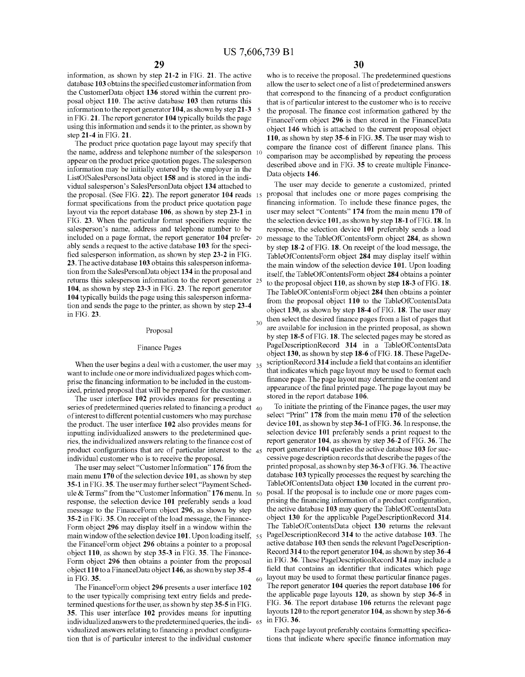information, as shown by step 21-2 in FIG. 21. The active database 103 obtains the specified customer information from the CustomerData object 136 stored within the current proposal object 110. The active database 103 then returns this information to the report generator 104, as shown by step 21-3 5 in FIG. 21. The report generator 104 typically builds the page using this information and sends it to the printer, as shown by step 21-4 in FIG. 21.

The product price quotation page layout may specify that the name, address and telephone number of the salesperson 10 appear on the product price quotation pages. The salesperson information may be initially entered by the employer in the ListOfSalesPersonsData object 158 and is stored in the individual salesperson's SalesPersonData object 134 attached to the proposal. (See FIG. 22). The report generator 104 reads 15 format specifications from the product price quotation page layout via the report database 106, as shown by step 23-1 in FIG. 23. When the particular format specifiers require the salesperson's name, address and telephone number to be included on a page format, the report generator 104 prefer-20 ably sends a request to the active database 103 for the specified salesperson information, as shown by step 23-2 in FIG. 23. The active database 103 obtains this salesperson information from the SalesPersonData object 134 in the proposal and returns this salesperson information to the report generator 25 104, as shown by step 23-3 in FIG. 23. The report generator 104 typically builds the page using this salesperson information and sends the page to the printer, as shown by step 23-4 in FIG. 23.

#### Proposal

#### **Finance Pages**

When the user begins a deal with a customer, the user may  $35$ want to include one or more individualized pages which comprise the financing information to be included in the customized, printed proposal that will be prepared for the customer.

The user interface 102 provides means for presenting a series of predetermined queries related to financing a product  $_{40}$ of interest to different potential customers who may purchase the product. The user interface 102 also provides means for inputting individualized answers to the predetermined queries, the individualized answers relating to the finance cost of product configurations that are of particular interest to the 45 individual customer who is to receive the proposal.

The user may select "Customer Information" 176 from the main menu 170 of the selection device 101, as shown by step 35-1 in FIG. 35. The user may further select "Payment Schedule & Terms" from the "Customer Information" 176 menu. In 50 response, the selection device 101 preferably sends a load message to the FinanceForm object 296, as shown by step 35-2 in FIG. 35. On receipt of the load message, the Finance-Form object 296 may display itself in a window within the main window of the selection device 101. Upon loading itself, 55 the Finance Form object 296 obtains a pointer to a proposal object 110, as shown by step 35-3 in FIG. 35. The Finance-Form object 296 then obtains a pointer from the proposal object 110 to a FinanceData object 146, as shown by step 35-4 in FIG. 35. 60

The FinanceForm object 296 presents a user interface 102 to the user typically comprising text entry fields and predetermined questions for the user, as shown by step 35-5 in FIG. 35. This user interface 102 provides means for inputting individualized answers to the predetermined queries, the indi- 65 vidualized answers relating to financing a product configuration that is of particular interest to the individual customer

30

who is to receive the proposal. The predetermined questions allow the user to select one of a list of predetermined answers that correspond to the financing of a product configuration that is of particular interest to the customer who is to receive the proposal. The finance cost information gathered by the FinanceForm object 296 is then stored in the FinanceData object 146 which is attached to the current proposal object 110, as shown by step 35-6 in FIG. 35. The user may wish to compare the finance cost of different finance plans. This comparison may be accomplished by repeating the process described above and in FIG. 35 to create multiple Finance-Data objects 146.

The user may decide to generate a customized, printed proposal that includes one or more pages comprising the financing information. To include these finance pages, the user may select "Contents" 174 from the main menu 170 of the selection device 101, as shown by step 18-1 of FIG. 18. In response, the selection device 101 preferably sends a load message to the TableOfContentsForm object 284, as shown by step 18-2 of FIG. 18. On receipt of the load message, the TableOfContentsForm object 284 may display itself within the main window of the selection device 101. Upon loading itself, the TableOfContentsForm object 284 obtains a pointer to the proposal object 110, as shown by step 18-3 of FIG. 18. The TableOfContentsForm object 284 then obtains a pointer from the proposal object 110 to the TableOfContentsData object 130, as shown by step 18-4 of FIG. 18. The user may then select the desired finance pages from a list of pages that are available for inclusion in the printed proposal, as shown by step 18-5 of FIG. 18. The selected pages may be stored as PageDescriptionRecord 314 in a TableOfContentsData object 130, as shown by step 18-6 of FIG. 18. These PageDescriptionRecord 314 include a field that contains an identifier that indicates which page layout may be used to format each finance page. The page layout may determine the content and appearance of the final printed page. The page layout may be stored in the report database 106.

To initiate the printing of the Finance pages, the user may select "Print" 178 from the main menu 170 of the selection device 101, as shown by step 36-1 of FIG. 36. In response, the selection device 101 preferably sends a print request to the report generator 104, as shown by step 36-2 of FIG. 36. The report generator 104 queries the active database 103 for successive page description records that describe the pages of the printed proposal, as shown by step 36-3 of FIG. 36. The active database 103 typically processes the request by searching the TableOfContentsData object 130 located in the current proposal. If the proposal is to include one or more pages comprising the financing information of a product configuration, the active database 103 may query the TableOfContentsData object 130 for the applicable PageDescriptionRecord 314. The TableOfContentsData object 130 returns the relevant PageDescriptionRecord 314 to the active database 103. The active database 103 then sends the relevant PageDescription-Record 314 to the report generator 104, as shown by step 36-4 in FIG. 36. These PageDescriptionRecord 314 may include a field that contains an identifier that indicates which page layout may be used to format these particular finance pages. The report generator 104 queries the report database 106 for the applicable page layouts  $120$ , as shown by step  $36-5$  in FIG. 36. The report database 106 returns the relevant page layouts 120 to the report generator 104, as shown by step 36-6 in FIG. 36.

Each page layout preferably contains formatting specifications that indicate where specific finance information may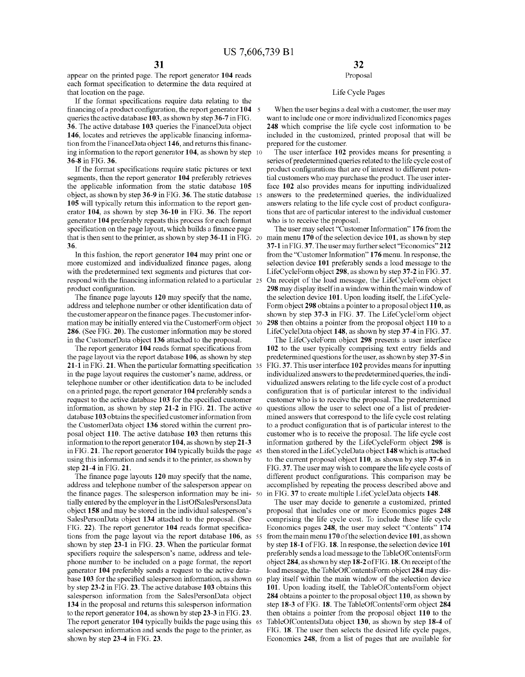$\sim$ 

appear on the printed page. The report generator 104 reads each format specification to determine the data required at that location on the page.

If the format specifications require data relating to the financing of a product configuration, the report generator 104 queries the active database 103, as shown by step 36-7 in FIG. 36. The active database 103 queries the FinanceData object 146, locates and retrieves the applicable financing information from the FinanceData object 146, and returns this financing information to the report generator 104, as shown by step 10 36-8 in FIG. 36.

If the format specifications require static pictures or text segments, then the report generator 104 preferably retrieves the applicable information from the static database 105 object, as shown by step 36-9 in FIG. 36. The static database 15 105 will typically return this information to the report generator 104, as shown by step 36-10 in FIG. 36. The report generator 104 preferably repeats this process for each format specification on the page layout, which builds a finance page that is then sent to the printer, as shown by step  $36-11$  in FIG. 20 36

In this fashion, the report generator 104 may print one or more customized and individualized finance pages, along with the predetermined text segments and pictures that correspond with the financing information related to a particular 25 product configuration.

The finance page layouts 120 may specify that the name, address and telephone number or other identification data of the customer appear on the finance pages. The customer information may be initially entered via the CustomerForm object 30 286. (See FIG. 20). The customer information may be stored in the CustomerData object 136 attached to the proposal.

The report generator 104 reads format specifications from the page layout via the report database 106, as shown by step 21-1 in FIG. 21. When the particular formatting specification 35 in the page layout requires the customer's name, address, or telephone number or other identification data to be included on a printed page, the report generator 104 preferably sends a request to the active database 103 for the specified customer information, as shown by step 21-2 in FIG. 21. The active 40 database 103 obtains the specified customer information from the CustomerData object 136 stored within the current proposal object 110. The active database 103 then returns this information to the report generator 104, as shown by step 21-3 in FIG. 21. The report generator 104 typically builds the page 45 using this information and sends it to the printer, as shown by step 21-4 in FIG. 21.

The finance page layouts 120 may specify that the name, address and telephone number of the salesperson appear on the finance pages. The salesperson information may be ini- 50 tially entered by the employer in the ListOfSalesPersonsData object 158 and may be stored in the individual salesperson's SalesPersonData object 134 attached to the proposal. (See FIG. 22). The report generator 104 reads format specifications from the page layout via the report database 106, as 55 shown by step 23-1 in FIG. 23. When the particular format specifiers require the salesperson's name, address and telephone number to be included on a page format, the report generator 104 preferably sends a request to the active database 103 for the specified salesperson information, as shown 60 by step 23-2 in FIG. 23. The active database 103 obtains this salesperson information from the SalesPersonData object 134 in the proposal and returns this salesperson information to the report generator 104, as shown by step 23-3 in FIG. 23. The report generator 104 typically builds the page using this 65 salesperson information and sends the page to the printer, as shown by step 23-4 in FIG. 23.

## 32

## Proposal

#### Life Cycle Pages

When the user begins a deal with a customer, the user may want to include one or more individualized Economics pages 248 which comprise the life cycle cost information to be included in the customized, printed proposal that will be prepared for the customer.

The user interface 102 provides means for presenting a series of predetermined queries related to the life cycle cost of product configurations that are of interest to different potential customers who may purchase the product. The user interface 102 also provides means for inputting individualized answers to the predetermined queries, the individualized answers relating to the life cycle cost of product configurations that are of particular interest to the individual customer who is to receive the proposal.

The user may select "Customer Information" 176 from the main menu 170 of the selection device 101, as shown by step 37-1 in FIG. 37. The user may further select "Economics" 212 from the "Customer Information" 176 menu. In response, the selection device 101 preferably sends a load message to the LifeCycleForm object 298, as shown by step 37-2 in FIG. 37. On receipt of the load message, the LifeCycleForm object 298 may display itself in a window within the main window of the selection device 101. Upon loading itself, the LifeCycle-Form object 298 obtains a pointer to a proposal object 110, as shown by step 37-3 in FIG. 37. The LifeCycleForm object 298 then obtains a pointer from the proposal object 110 to a LifeCycleData object 148, as shown by step 37-4 in FIG. 37.

The LifeCycleForm object 298 presents a user interface 102 to the user typically comprising text entry fields and predetermined questions for the user, as shown by step 37-5 in FIG. 37. This user interface 102 provides means for inputting individualized answers to the predetermined queries, the individualized answers relating to the life cycle cost of a product configuration that is of particular interest to the individual customer who is to receive the proposal. The predetermined questions allow the user to select one of a list of predetermined answers that correspond to the life cycle cost relating to a product configuration that is of particular interest to the customer who is to receive the proposal. The life cycle cost information gathered by the LifeCycleForm object 298 is then stored in the LifeCycleData object 148 which is attached to the current proposal object 110, as shown by step 37-6 in FIG. 37. The user may wish to compare the life cycle costs of different product configurations. This comparison may be accomplished by repeating the process described above and in FIG. 37 to create multiple LifeCycleData objects 148.

The user may decide to generate a customized, printed proposal that includes one or more Economics pages 248 comprising the life cycle cost. To include these life cycle Economics pages 248, the user may select "Contents" 174 from the main menu 170 of the selection device 101, as shown by step 18-1 of FIG. 18. In response, the selection device 101 preferably sends a load message to the TableOfContentsForm object 284, as shown by step 18-2 of FIG. 18. On receipt of the load message, the TableOfContentsForm object 284 may display itself within the main window of the selection device 101. Upon loading itself, the TableOfContentsForm object 284 obtains a pointer to the proposal object 110, as shown by step 18-3 of FIG. 18. The TableOfContentsForm object 284 then obtains a pointer from the proposal object 110 to the TableOfContentsData object 130, as shown by step 18-4 of FIG. 18. The user then selects the desired life cycle pages, Economics 248, from a list of pages that are available for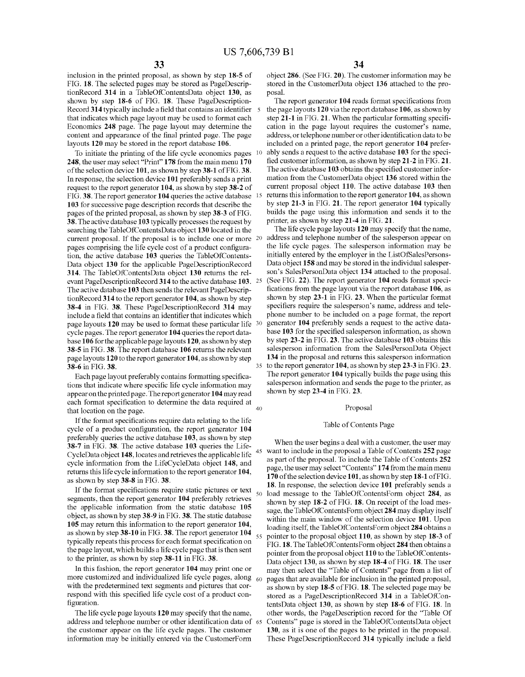inclusion in the printed proposal, as shown by step 18-5 of FIG. 18. The selected pages may be stored as PageDescriptionRecord 314 in a TableOfContentsData object 130, as shown by step 18-6 of FIG. 18. These PageDescription-Record 314 typically include a field that contains an identifier that indicates which page layout may be used to format each Economics 248 page. The page layout may determine the content and appearance of the final printed page. The page layouts 120 may be stored in the report database 106.

To initiate the printing of the life cycle economics pages 10 248, the user may select "Print" 178 from the main menu 170 of the selection device 101, as shown by step 38-1 of FIG. 38. In response, the selection device 101 preferably sends a print request to the report generator 104, as shown by step 38-2 of FIG. 38. The report generator 104 queries the active database 15 103 for successive page description records that describe the pages of the printed proposal, as shown by step 38-3 of FIG. 38. The active database 103 typically processes the request by searching the TableOfContentsData object 130 located in the current proposal. If the proposal is to include one or more 20 pages comprising the life cycle cost of a product configuration, the active database 103 queries the TableOfContents-Data object 130 for the applicable PageDescriptionRecord 314. The TableOfContentsData object 130 returns the relevant PageDescriptionRecord 314 to the active database 103. 25 The active database 103 then sends the relevant PageDescriptionRecord 314 to the report generator 104, as shown by step 38-4 in FIG. 38. These PageDescriptionRecord 314 may include a field that contains an identifier that indicates which page layouts 120 may be used to format these particular life 30 cycle pages. The report generator 104 queries the report database 106 for the applicable page layouts  $120$ , as shown by step 38-5 in FIG. 38. The report database 106 returns the relevant page layouts 120 to the report generator 104, as shown by step 38-6 in FIG. 38.

Each page layout preferably contains formatting specifications that indicate where specific life cycle information may appear on the printed page. The report generator 104 may read each format specification to determine the data required at that location on the page.

If the format specifications require data relating to the life cycle of a product configuration, the report generator 104 preferably queries the active database 103, as shown by step 38-7 in FIG. 38. The active database 103 queries the Life-CycleData object 148, locates and retrieves the applicable life cycle information from the LifeCycleData object 148, and returns this life cycle information to the report generator 104, as shown by step 38-8 in FIG. 38.

If the format specifications require static pictures or text  $_{50}$ segments, then the report generator 104 preferably retrieves the applicable information from the static database 105 object, as shown by step 38-9 in FIG. 38. The static database 105 may return this information to the report generator 104. as shown by step 38-10 in FIG. 38. The report generator 104 typically repeats this process for each format specification on the page layout, which builds a life cycle page that is then sent to the printer, as shown by step 38-11 in FIG. 38.

In this fashion, the report generator 104 may print one or more customized and individualized life cycle pages, along 60 with the predetermined text segments and pictures that correspond with this specified life cycle cost of a product configuration.

The life cycle page layouts 120 may specify that the name, address and telephone number or other identification data of 65 the customer appear on the life cycle pages. The customer information may be initially entered via the CustomerForm

object 286. (See FIG. 20). The customer information may be stored in the CustomerData object 136 attached to the proposal.

The report generator 104 reads format specifications from the page layouts 120 via the report database 106, as shown by step 21-1 in FIG. 21. When the particular formatting specification in the page layout requires the customer's name, address, or telephone number or other identification data to be included on a printed page, the report generator 104 preferably sends a request to the active database 103 for the specified customer information, as shown by step 21-2 in FIG. 21. The active database 103 obtains the specified customer information from the CustomerData object 136 stored within the current proposal object 110. The active database 103 then returns this information to the report generator 104, as shown by step 21-3 in FIG. 21. The report generator 104 typically builds the page using this information and sends it to the printer, as shown by step 21-4 in FIG. 21.

The life cycle page layouts 120 may specify that the name, address and telephone number of the salesperson appear on the life cycle pages. The salesperson information may be initially entered by the employer in the ListOfSalesPersons-Data object 158 and may be stored in the individual salesperson's SalesPersonData object 134 attached to the proposal. (See FIG. 22). The report generator 104 reads format specifications from the page layout via the report database 106, as shown by step 23-1 in FIG. 23. When the particular format specifiers require the salesperson's name, address and telephone number to be included on a page format, the report generator 104 preferably sends a request to the active database 103 for the specified salesperson information, as shown by step 23-2 in FIG. 23. The active database 103 obtains this salesperson information from the SalesPersonData Object 134 in the proposal and returns this salesperson information 35 to the report generator 104, as shown by step 23-3 in FIG. 23. The report generator 104 typically builds the page using this

salesperson information and sends the page to the printer, as shown by step 23-4 in FIG. 23.

#### Proposal

#### Table of Contents Page

When the user begins a deal with a customer, the user may 45 want to include in the proposal a Table of Contents 252 page as part of the proposal. To include the Table of Contents 252 page, the user may select "Contents" 174 from the main menu 170 of the selection device 101, as shown by step 18-1 of FIG. 18. In response, the selection device 101 preferably sends a load message to the TableOfContentsForm object 284, as shown by step 18-2 of FIG. 18. On receipt of the load message, the TableOfContentsForm object 284 may display itself within the main window of the selection device 101. Upon loading itself, the TableOfContentsForm object 284 obtains a pointer to the proposal object 110, as shown by step 18-3 of FIG. 18. The TableOfContentsForm object 284 then obtains a pointer from the proposal object 110 to the TableOfContents-Data object 130, as shown by step 18-4 of FIG. 18. The user may then select the "Table of Contents" page from a list of pages that are available for inclusion in the printed proposal, as shown by step 18-5 of FIG. 18. The selected page may be stored as a PageDescriptionRecord 314 in a TableOfContentsData object 130, as shown by step 18-6 of FIG. 18. In other words, the PageDescription record for the "Table Of Contents" page is stored in the TableOfContentsData object 130, as it is one of the pages to be printed in the proposal. These PageDescriptionRecord 314 typically include a field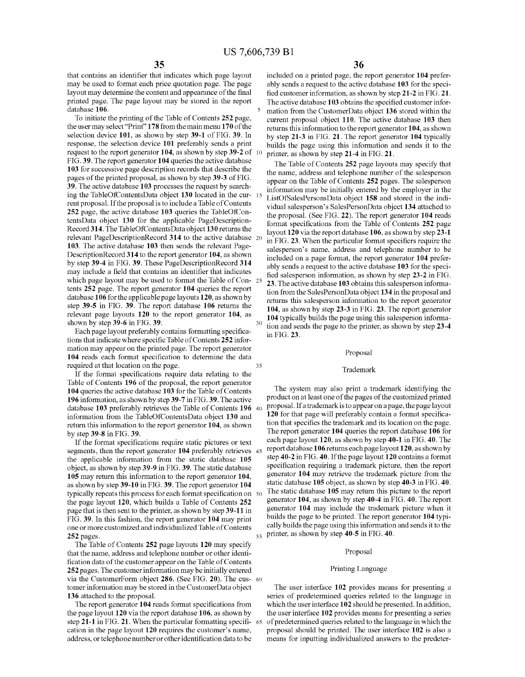that contains an identifier that indicates which page layout may be used to format each price quotation page. The page layout may determine the content and appearance of the final printed page. The page layout may be stored in the report database 106.

To initiate the printing of the Table of Contents 252 page, the user may select "Print" 178 from the main menu 170 of the selection device 101, as shown by step 39-1 of FIG. 39. In response, the selection device 101 preferably sends a print request to the report generator 104, as shown by step 39-2 of 10 FIG. 39. The report generator 104 queries the active database 103 for successive page description records that describe the pages of the printed proposal, as shown by step 39-3 of FIG. 39. The active database 103 processes the request by searching the TableOfContentsData object 130 located in the cur-15 rent proposal. If the proposal is to include a Table of Contents 252 page, the active database 103 queries the TableOfContentsData object 130 for the applicable PageDescription-Record 314. The TableOfContentsData object 130 returns the relevant PageDescriptionRecord 314 to the active database 20 103. The active database 103 then sends the relevant Page-DescriptionRecord 314 to the report generator 104, as shown by step 39-4 in FIG. 39. These PageDescriptionRecord 314 may include a field that contains an identifier that indicates which page layout may be used to format the Table of Con-25 tents 252 page. The report generator 104 queries the report database 106 for the applicable page layouts 120, as shown by step 39-5 in FIG. 39. The report database 106 returns the relevant page layouts 120 to the report generator 104, as shown by step 39-6 in FIG. 39.

Each page layout preferably contains formatting specifications that indicate where specific Table of Contents 252 information may appear on the printed page. The report generator 104 reads each format specification to determine the data required at that location on the page.

If the format specifications require data relating to the Table of Contents 196 of the proposal, the report generator 104 queries the active database 103 for the Table of Contents 196 information, as shown by step 39-7 in FIG. 39. The active database 103 preferably retrieves the Table of Contents 196 40 information from the TableOfContentsData object 130 and return this information to the report generator 104, as shown by step 39-8 in FIG. 39.

If the format specifications require static pictures or text segments, then the report generator 104 preferably retrieves 45 the applicable information from the static database 105 object, as shown by step 39-9 in FIG. 39. The static database 105 may return this information to the report generator 104, as shown by step 39-10 in FIG. 39. The report generator 104 typically repeats this process for each format specification on 50 the page layout 120, which builds a Table of Contents 252 page that is then sent to the printer, as shown by step 39-11 in FIG. 39. In this fashion, the report generator 104 may print one or more customized and individualized Table of Contents 252 pages.

The Table of Contents 252 page layouts 120 may specify that the name, address and telephone number or other identification data of the customer appear on the Table of Contents 252 pages. The customer information may be initially entered via the CustomerForm object 286. (See FIG. 20). The cus- 60 tomer information may be stored in the CustomerData object 136 attached to the proposal.

The report generator 104 reads format specifications from the page layout 120 via the report database 106, as shown by step 21-1 in FIG. 21. When the particular formatting specifi- 65 cation in the page layout 120 requires the customer's name, address, or telephone number or other identification data to be

included on a printed page, the report generator 104 preferably sends a request to the active database 103 for the specified customer information, as shown by step 21-2 in FIG. 21. The active database 103 obtains the specified customer information from the CustomerData object 136 stored within the current proposal object 110. The active database 103 then returns this information to the report generator 104, as shown by step 21-3 in FIG. 21. The report generator 104 typically builds the page using this information and sends it to the printer, as shown by step 21-4 in FIG. 21.

The Table of Contents 252 page layouts may specify that the name, address and telephone number of the salesperson appear on the Table of Contents 252 pages. The salesperson information may be initially entered by the employer in the ListOfSalesPersonsData object 158 and stored in the individual salesperson's SalesPersonData object 134 attached to the proposal. (See FIG. 22). The report generator 104 reads format specifications from the Table of Contents 252 page layout 120 via the report database 106, as shown by step 23-1 in FIG. 23. When the particular format specifiers require the salesperson's name, address and telephone number to be included on a page format, the report generator 104 preferably sends a request to the active database 103 for the specified salesperson information, as shown by step 23-2 in FIG. 23. The active database 103 obtains this salesperson information from the SalesPersonData object 134 in the proposal and returns this salesperson information to the report generator 104, as shown by step 23-3 in FIG. 23. The report generator 104 typically builds the page using this salesperson information and sends the page to the printer, as shown by step 23-4 in FIG. 23.

#### Proposal

#### Trademark

The system may also print a trademark identifying the product on at least one of the pages of the customized printed proposal. If a trademark is to appear on a page, the page layout 120 for that page will preferably contain a format specification that specifies the trademark and its location on the page. The report generator 104 queries the report database 106 for each page layout 120, as shown by step 40-1 in FIG. 40. The report database 106 returns each page layout 120, as shown by step 40-2 in FIG. 40. If the page layout 120 contains a format specification requiring a trademark picture, then the report generator 104 may retrieve the trademark picture from the static database 105 object, as shown by step 40-3 in FIG. 40. The static database 105 may return this picture to the report generator 104, as shown by step 40-4 in FIG. 40. The report generator 104 may include the trademark picture when it builds the page to be printed. The report generator 104 typically builds the page using this information and sends it to the  $_{55}$  printer, as shown by step 40-5 in FIG. 40.

#### Proposal

#### Printing Language

The user interface 102 provides means for presenting a series of predetermined queries related to the language in which the user interface 102 should be presented. In addition, the user interface 102 provides means for presenting a series of predetermined queries related to the language in which the proposal should be printed. The user interface 102 is also a means for inputting individualized answers to the predeter-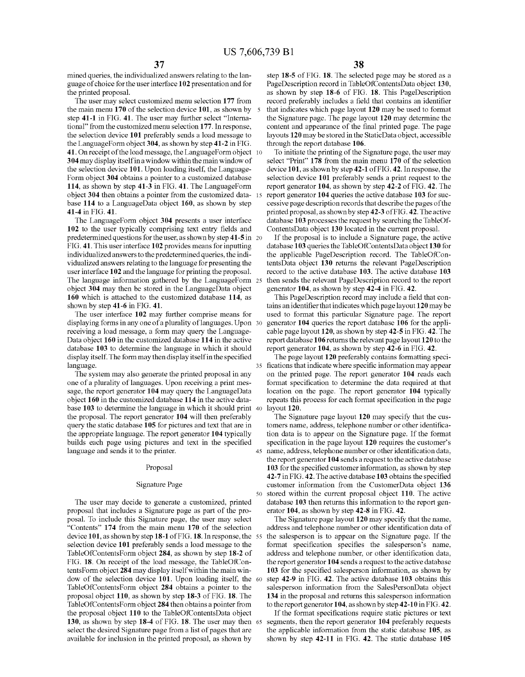mined queries, the individualized answers relating to the language of choice for the user interface 102 presentation and for the printed proposal.

The user may select customized menu selection 177 from the main menu 170 of the selection device 101, as shown by step 41-1 in FIG. 41. The user may further select "International" from the customized menu selection 177. In response, the selection device 101 preferably sends a load message to the LanguageForm object 304, as shown by step 41-2 in FIG. 41. On receipt of the load message, the LanguageForm object 10 304 may display itself in a window within the main window of the selection device 101. Upon loading itself, the Language-Form object 304 obtains a pointer to a customized database 114, as shown by step 41-3 in FIG. 41. The LanguageForm object 304 then obtains a pointer from the customized data-15 base 114 to a LanguageData object 160, as shown by step 41-4 in FIG. 41.

The LanguageForm object 304 presents a user interface 102 to the user typically comprising text entry fields and predetermined questions for the user, as shown by step  $41-5$  in 20 FIG. 41. This user interface 102 provides means for inputting individualized answers to the predetermined queries, the individualized answers relating to the language for presenting the user interface 102 and the language for printing the proposal. The language information gathered by the LanguageForm 25 object 304 may then be stored in the LanguageData object 160 which is attached to the customized database 114, as shown by step 41-6 in FIG. 41.

The user interface 102 may further comprise means for displaying forms in any one of a plurality of languages. Upon 30 receiving a load message, a form may query the Language-Data object 160 in the customized database 114 in the active database 103 to determine the language in which it should display itself. The form may then display itself in the specified language.

The system may also generate the printed proposal in any one of a plurality of languages. Upon receiving a print message, the report generator 104 may query the LanguageData object 160 in the customized database 114 in the active database 103 to determine the language in which it should print 40 the proposal. The report generator 104 will then preferably query the static database 105 for pictures and text that are in the appropriate language. The report generator 104 typically builds each page using pictures and text in the specified language and sends it to the printer.

#### Proposal

#### **Signature Page**

The user may decide to generate a customized, printed proposal that includes a Signature page as part of the proposal. To include this Signature page, the user may select "Contents" 174 from the main menu 170 of the selection device 101, as shown by step 18-1 of FIG. 18. In response, the 55 selection device 101 preferably sends a load message to the TableOfContentsForm object 284, as shown by step 18-2 of FIG. 18. On receipt of the load message, the TableOfContents Form object 284 may display itself within the main window of the selection device 101. Upon loading itself, the 60 TableOfContentsForm object 284 obtains a pointer to the proposal object 110, as shown by step 18-3 of FIG. 18. The TableOfContentsForm object 284 then obtains a pointer from the proposal object 110 to the TableOfContentsData object 130, as shown by step 18-4 of FIG. 18. The user may then 65 select the desired Signature page from a list of pages that are available for inclusion in the printed proposal, as shown by

step 18-5 of FIG. 18. The selected page may be stored as a PageDescription record in TableOfContentsData object 130, as shown by step 18-6 of FIG. 18. This PageDescription record preferably includes a field that contains an identifier that indicates which page layout 120 may be used to format the Signature page. The page layout 120 may determine the content and appearance of the final printed page. The page layouts 120 may be stored in the StaticData object, accessible through the report database 106.

To initiate the printing of the Signature page, the user may select "Print" 178 from the main menu 170 of the selection device 101, as shown by step 42-1 of FIG. 42. In response, the selection device 101 preferably sends a print request to the report generator 104, as shown by step 42-2 of FIG. 42. The report generator 104 queries the active database 103 for successive page description records that describe the pages of the printed proposal, as shown by step 42-3 of FIG. 42. The active database 103 processes the request by searching the TableOf-ContentsData object 130 located in the current proposal.

If the proposal is to include a Signature page, the active database 103 queries the TableOfContentsData object 130 for the applicable PageDescription record. The TableOfContentsData object 130 returns the relevant PageDescription record to the active database 103. The active database 103 then sends the relevant PageDescription record to the report generator 104, as shown by step 42-4 in FIG. 42.

This PageDescription record may include a field that contains an identifier that indicates which page layout 120 may be used to format this particular Signature page. The report generator 104 queries the report database 106 for the applicable page layout 120, as shown by step 42-5 in FIG. 42. The report database 106 returns the relevant page layout 120 to the report generator 104, as shown by step 42-6 in FIG. 42.

The page layout 120 preferably contains formatting speci-35 fications that indicate where specific information may appear on the printed page. The report generator 104 reads each format specification to determine the data required at that location on the page. The report generator 104 typically repeats this process for each format specification in the page layout 120.

The Signature page layout 120 may specify that the customers name, address, telephone number or other identification data is to appear on the Signature page. If the format specification in the page layout 120 requires the customer's 45 name, address, telephone number or other identification data, the report generator 104 sends a request to the active database 103 for the specified customer information, as shown by step 42-7 in FIG. 42. The active database 103 obtains the specified customer information from the CustomerData object 136 stored within the current proposal object 110. The active database 103 then returns this information to the report generator 104, as shown by step  $42-8$  in FIG. 42.

The Signature page layout  $120$  may specify that the name, address and telephone number or other identification data of the salesperson is to appear on the Signature page. If the format specification specifies the salesperson's name, address and telephone number, or other identification data, the report generator 104 sends a request to the active database 103 for the specified salesperson information, as shown by step 42-9 in FIG. 42. The active database 103 obtains this salesperson information from the SalesPersonData object 134 in the proposal and returns this salesperson information to the report generator 104, as shown by step  $42-10$  in FIG.  $42$ .

If the format specifications require static pictures or text segments, then the report generator 104 preferably requests the applicable information from the static database 105, as shown by step 42-11 in FIG. 42. The static database 105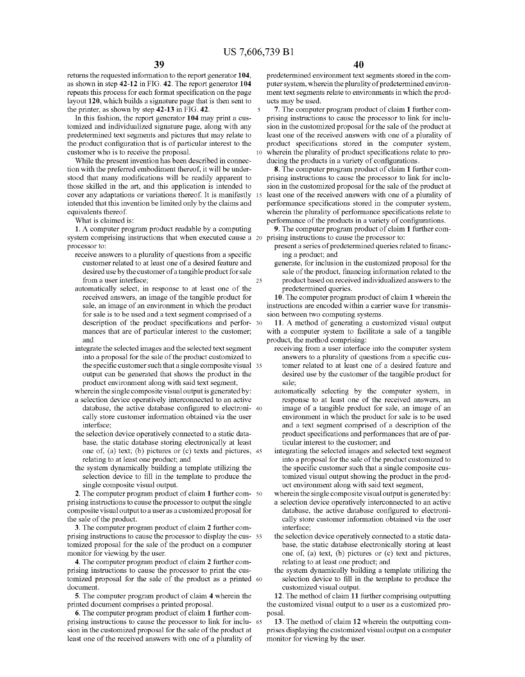10

25

returns the requested information to the report generator 104, as shown in step 42-12 in FIG. 42. The report generator 104 repeats this process for each format specification on the page layout 120, which builds a signature page that is then sent to the printer, as shown by step 42-13 in FIG. 42.

In this fashion, the report generator 104 may print a customized and individualized signature page, along with any predetermined text segments and pictures that may relate to the product configuration that is of particular interest to the customer who is to receive the proposal.

While the present invention has been described in connection with the preferred embodiment thereof, it will be understood that many modifications will be readily apparent to those skilled in the art, and this application is intended to cover any adaptations or variations thereof. It is manifestly 15 intended that this invention be limited only by the claims and equivalents thereof.

What is claimed is:

1. A computer program product readable by a computing system comprising instructions that when executed cause a 20 prising instructions to cause the processor to: processor to:

- receive answers to a plurality of questions from a specific customer related to at least one of a desired feature and desired use by the customer of a tangible product for sale from a user interface;
- automatically select, in response to at least one of the received answers, an image of the tangible product for sale, an image of an environment in which the product for sale is to be used and a text segment comprised of a description of the product specifications and perfor- 30 mances that are of particular interest to the customer; and
- integrate the selected images and the selected text segment into a proposal for the sale of the product customized to the specific customer such that a single composite visual 35 output can be generated that shows the product in the product environment along with said text segment,

wherein the single composite visual output is generated by: a selection device operatively interconnected to an active

- database, the active database configured to electroni-40 cally store customer information obtained via the user interface:
- the selection device operatively connected to a static database, the static database storing electronically at least one of, (a) text; (b) pictures or (c) texts and pictures, 45 relating to at least one product; and
- the system dynamically building a template utilizing the selection device to fill in the template to produce the single composite visual output.

2. The computer program product of claim 1 further com- 50 prising instructions to cause the processor to output the single composite visual output to a user as a customized proposal for the sale of the product.

3. The computer program product of claim 2 further comprising instructions to cause the processor to display the cus- 55 tomized proposal for the sale of the product on a computer monitor for viewing by the user.

4. The computer program product of claim 2 further comprising instructions to cause the processor to print the customized proposal for the sale of the product as a printed 60 document.

5. The computer program product of claim 4 wherein the printed document comprises a printed proposal.

6. The computer program product of claim 1 further comprising instructions to cause the processor to link for inclu- 65 sion in the customized proposal for the sale of the product at least one of the received answers with one of a plurality of

predetermined environment text segments stored in the computer system, wherein the plurality of predetermined environment text segments relate to environments in which the products may be used.

7. The computer program product of claim 1 further comprising instructions to cause the processor to link for inclusion in the customized proposal for the sale of the product at least one of the received answers with one of a plurality of product specifications stored in the computer system, wherein the plurality of product specifications relate to producing the products in a variety of configurations.

8. The computer program product of claim 1 further comprising instructions to cause the processor to link for inclusion in the customized proposal for the sale of the product at least one of the received answers with one of a plurality of performance specifications stored in the computer system, wherein the plurality of performance specifications relate to performance of the products in a variety of configurations.

9. The computer program product of claim 1 further com-

- present a series of predetermined queries related to financing a product; and
- generate, for inclusion in the customized proposal for the sale of the product, financing information related to the product based on received individualized answers to the predetermined queries.

10. The computer program product of claim 1 wherein the instructions are encoded within a carrier wave for transmission between two computing systems.

11. A method of generating a customized visual output with a computer system to facilitate a sale of a tangible product, the method comprising:

- receiving from a user interface into the computer system answers to a plurality of questions from a specific customer related to at least one of a desired feature and desired use by the customer of the tangible product for sale:
- automatically selecting by the computer system, in response to at least one of the received answers, an image of a tangible product for sale, an image of an environment in which the product for sale is to be used and a text segment comprised of a description of the product specifications and performances that are of particular interest to the customer; and
- integrating the selected images and selected text segment into a proposal for the sale of the product customized to the specific customer such that a single composite customized visual output showing the product in the product environment along with said text segment,

wherein the single composite visual output is generated by:

- a selection device operatively interconnected to an active database, the active database configured to electronically store customer information obtained via the user interface:
- the selection device operatively connected to a static database, the static database electronically storing at least one of, (a) text, (b) pictures or (c) text and pictures, relating to at least one product; and
- the system dynamically building a template utilizing the selection device to fill in the template to produce the customized visual output.

12. The method of claim 11 further comprising outputting the customized visual output to a user as a customized proposal.

13. The method of claim 12 wherein the outputting comprises displaying the customized visual output on a computer monitor for viewing by the user.